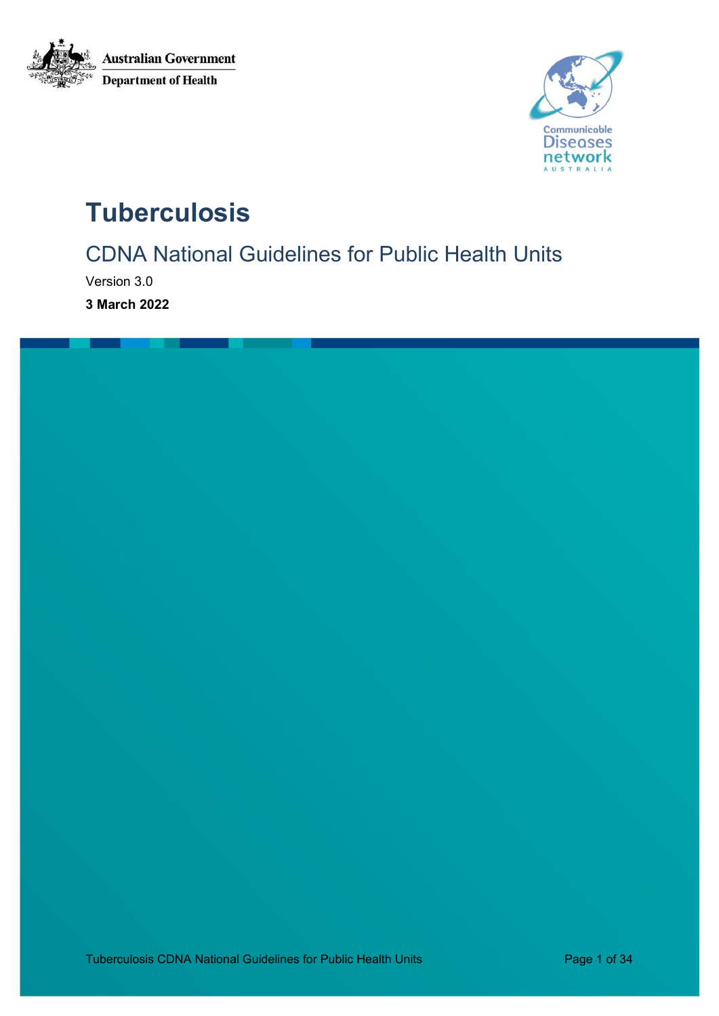



# **Tuberculosis**

CDNA National Guidelines for Public Health Units

Version 3.0

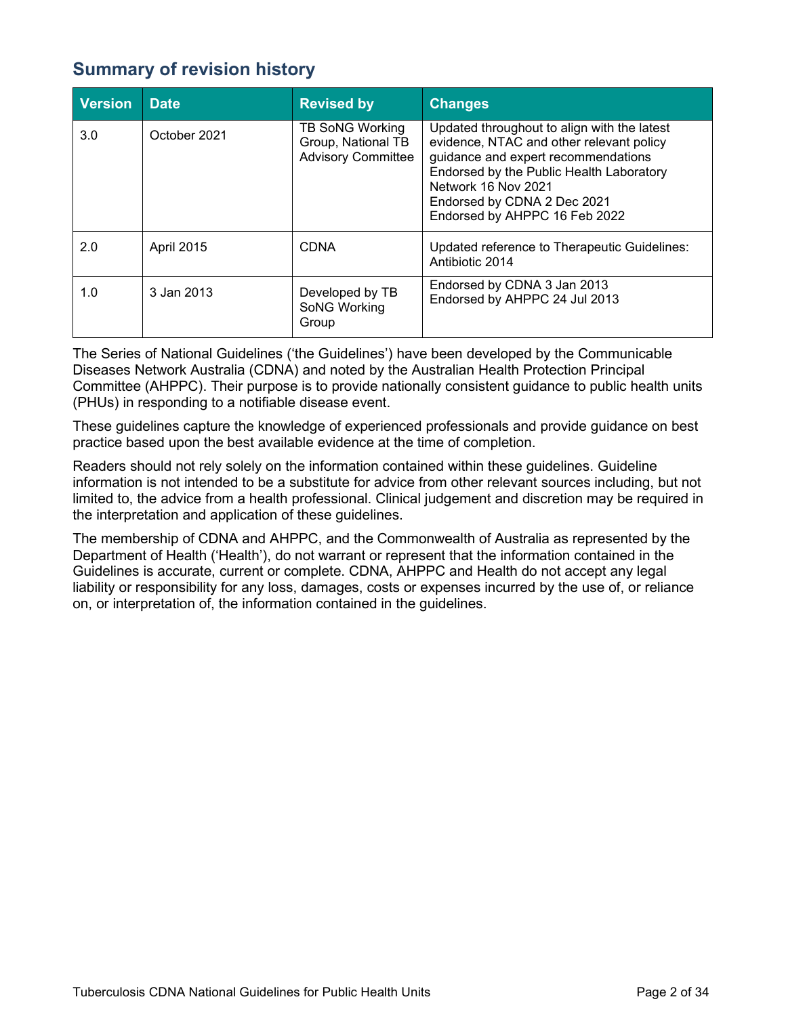# <span id="page-1-0"></span>**Summary of revision history**

| <b>Version</b> | <b>Date</b>  | <b>Revised by</b>                                                  | <b>Changes</b>                                                                                                                                                                                                                                                    |
|----------------|--------------|--------------------------------------------------------------------|-------------------------------------------------------------------------------------------------------------------------------------------------------------------------------------------------------------------------------------------------------------------|
| 3.0            | October 2021 | TB SoNG Working<br>Group, National TB<br><b>Advisory Committee</b> | Updated throughout to align with the latest<br>evidence, NTAC and other relevant policy<br>guidance and expert recommendations<br>Endorsed by the Public Health Laboratory<br>Network 16 Nov 2021<br>Endorsed by CDNA 2 Dec 2021<br>Endorsed by AHPPC 16 Feb 2022 |
| 2.0            | April 2015   | <b>CDNA</b>                                                        | Updated reference to Therapeutic Guidelines:<br>Antibiotic 2014                                                                                                                                                                                                   |
| 1.0            | 3 Jan 2013   | Developed by TB<br>SoNG Working<br>Group                           | Endorsed by CDNA 3 Jan 2013<br>Endorsed by AHPPC 24 Jul 2013                                                                                                                                                                                                      |

The Series of National Guidelines ('the Guidelines') have been developed by the Communicable Diseases Network Australia (CDNA) and noted by the Australian Health Protection Principal Committee (AHPPC). Their purpose is to provide nationally consistent guidance to public health units (PHUs) in responding to a notifiable disease event.

These guidelines capture the knowledge of experienced professionals and provide guidance on best practice based upon the best available evidence at the time of completion.

Readers should not rely solely on the information contained within these guidelines. Guideline information is not intended to be a substitute for advice from other relevant sources including, but not limited to, the advice from a health professional. Clinical judgement and discretion may be required in the interpretation and application of these guidelines.

The membership of CDNA and AHPPC, and the Commonwealth of Australia as represented by the Department of Health ('Health'), do not warrant or represent that the information contained in the Guidelines is accurate, current or complete. CDNA, AHPPC and Health do not accept any legal liability or responsibility for any loss, damages, costs or expenses incurred by the use of, or reliance on, or interpretation of, the information contained in the guidelines.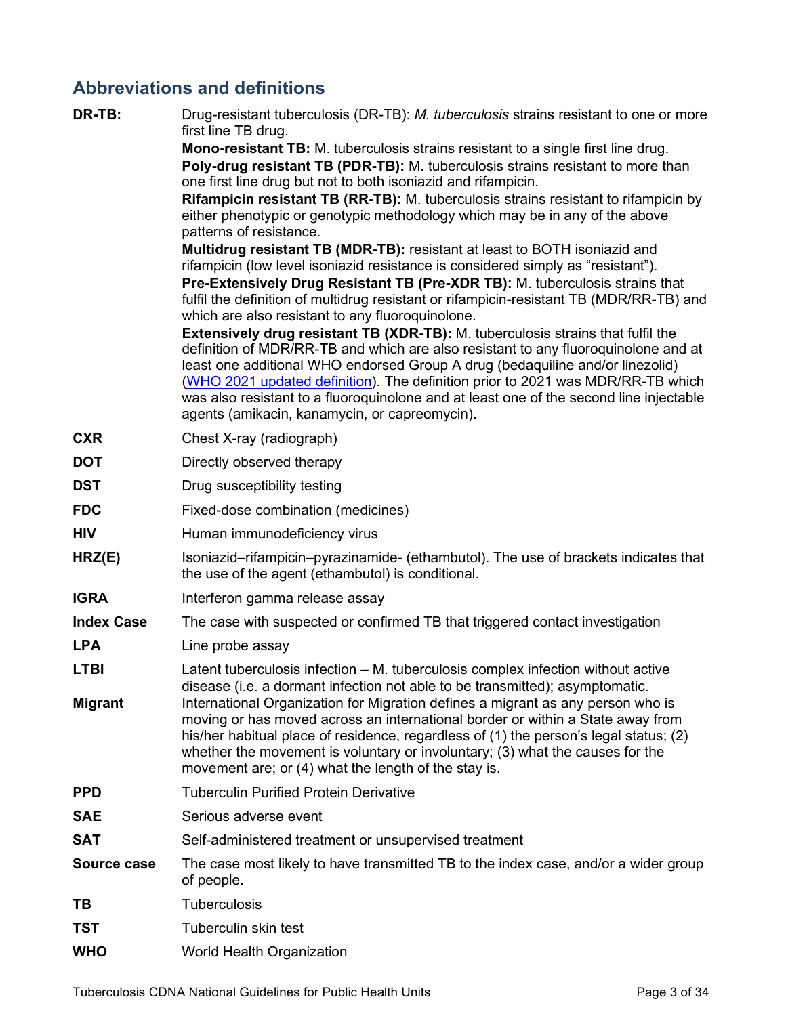# <span id="page-2-0"></span>**Abbreviations and definitions**

| DR-TB:             | Drug-resistant tuberculosis (DR-TB): M. tuberculosis strains resistant to one or more<br>first line TB drug.                                                                                                                                                                                                                                                                                                                                                                                |
|--------------------|---------------------------------------------------------------------------------------------------------------------------------------------------------------------------------------------------------------------------------------------------------------------------------------------------------------------------------------------------------------------------------------------------------------------------------------------------------------------------------------------|
|                    | Mono-resistant TB: M. tuberculosis strains resistant to a single first line drug.                                                                                                                                                                                                                                                                                                                                                                                                           |
|                    | Poly-drug resistant TB (PDR-TB): M. tuberculosis strains resistant to more than<br>one first line drug but not to both isoniazid and rifampicin.                                                                                                                                                                                                                                                                                                                                            |
|                    | Rifampicin resistant TB (RR-TB): M. tuberculosis strains resistant to rifampicin by                                                                                                                                                                                                                                                                                                                                                                                                         |
|                    | either phenotypic or genotypic methodology which may be in any of the above                                                                                                                                                                                                                                                                                                                                                                                                                 |
|                    | patterns of resistance.<br>Multidrug resistant TB (MDR-TB): resistant at least to BOTH isoniazid and                                                                                                                                                                                                                                                                                                                                                                                        |
|                    | rifampicin (low level isoniazid resistance is considered simply as "resistant").                                                                                                                                                                                                                                                                                                                                                                                                            |
|                    | Pre-Extensively Drug Resistant TB (Pre-XDR TB): M. tuberculosis strains that                                                                                                                                                                                                                                                                                                                                                                                                                |
|                    | fulfil the definition of multidrug resistant or rifampicin-resistant TB (MDR/RR-TB) and<br>which are also resistant to any fluoroquinolone.                                                                                                                                                                                                                                                                                                                                                 |
|                    | <b>Extensively drug resistant TB (XDR-TB):</b> M. tuberculosis strains that fulfil the<br>definition of MDR/RR-TB and which are also resistant to any fluoroquinolone and at<br>least one additional WHO endorsed Group A drug (bedaquiline and/or linezolid)<br>(WHO 2021 updated definition). The definition prior to 2021 was MDR/RR-TB which<br>was also resistant to a fluoroquinolone and at least one of the second line injectable<br>agents (amikacin, kanamycin, or capreomycin). |
| <b>CXR</b>         | Chest X-ray (radiograph)                                                                                                                                                                                                                                                                                                                                                                                                                                                                    |
| <b>DOT</b>         | Directly observed therapy                                                                                                                                                                                                                                                                                                                                                                                                                                                                   |
| <b>DST</b>         | Drug susceptibility testing                                                                                                                                                                                                                                                                                                                                                                                                                                                                 |
| <b>FDC</b>         | Fixed-dose combination (medicines)                                                                                                                                                                                                                                                                                                                                                                                                                                                          |
| <b>HIV</b>         | Human immunodeficiency virus                                                                                                                                                                                                                                                                                                                                                                                                                                                                |
| HRZ(E)             | Isoniazid–rifampicin–pyrazinamide- (ethambutol). The use of brackets indicates that<br>the use of the agent (ethambutol) is conditional.                                                                                                                                                                                                                                                                                                                                                    |
| <b>IGRA</b>        | Interferon gamma release assay                                                                                                                                                                                                                                                                                                                                                                                                                                                              |
| <b>Index Case</b>  | The case with suspected or confirmed TB that triggered contact investigation                                                                                                                                                                                                                                                                                                                                                                                                                |
| <b>LPA</b>         | Line probe assay                                                                                                                                                                                                                                                                                                                                                                                                                                                                            |
| <b>LTBI</b>        | Latent tuberculosis infection – M. tuberculosis complex infection without active<br>disease (i.e. a dormant infection not able to be transmitted); asymptomatic.                                                                                                                                                                                                                                                                                                                            |
| <b>Migrant</b>     | International Organization for Migration defines a migrant as any person who is<br>moving or has moved across an international border or within a State away from<br>his/her habitual place of residence, regardless of (1) the person's legal status; (2)<br>whether the movement is voluntary or involuntary; (3) what the causes for the<br>movement are; or (4) what the length of the stay is.                                                                                         |
| <b>PPD</b>         | <b>Tuberculin Purified Protein Derivative</b>                                                                                                                                                                                                                                                                                                                                                                                                                                               |
| <b>SAE</b>         | Serious adverse event                                                                                                                                                                                                                                                                                                                                                                                                                                                                       |
| <b>SAT</b>         | Self-administered treatment or unsupervised treatment                                                                                                                                                                                                                                                                                                                                                                                                                                       |
| <b>Source case</b> | The case most likely to have transmitted TB to the index case, and/or a wider group<br>of people.                                                                                                                                                                                                                                                                                                                                                                                           |
| TВ                 | <b>Tuberculosis</b>                                                                                                                                                                                                                                                                                                                                                                                                                                                                         |
| TST                | Tuberculin skin test                                                                                                                                                                                                                                                                                                                                                                                                                                                                        |
| <b>WHO</b>         | World Health Organization                                                                                                                                                                                                                                                                                                                                                                                                                                                                   |

Tuberculosis CDNA National Guidelines for Public Health Units **Page 3 of 34** Page 3 of 34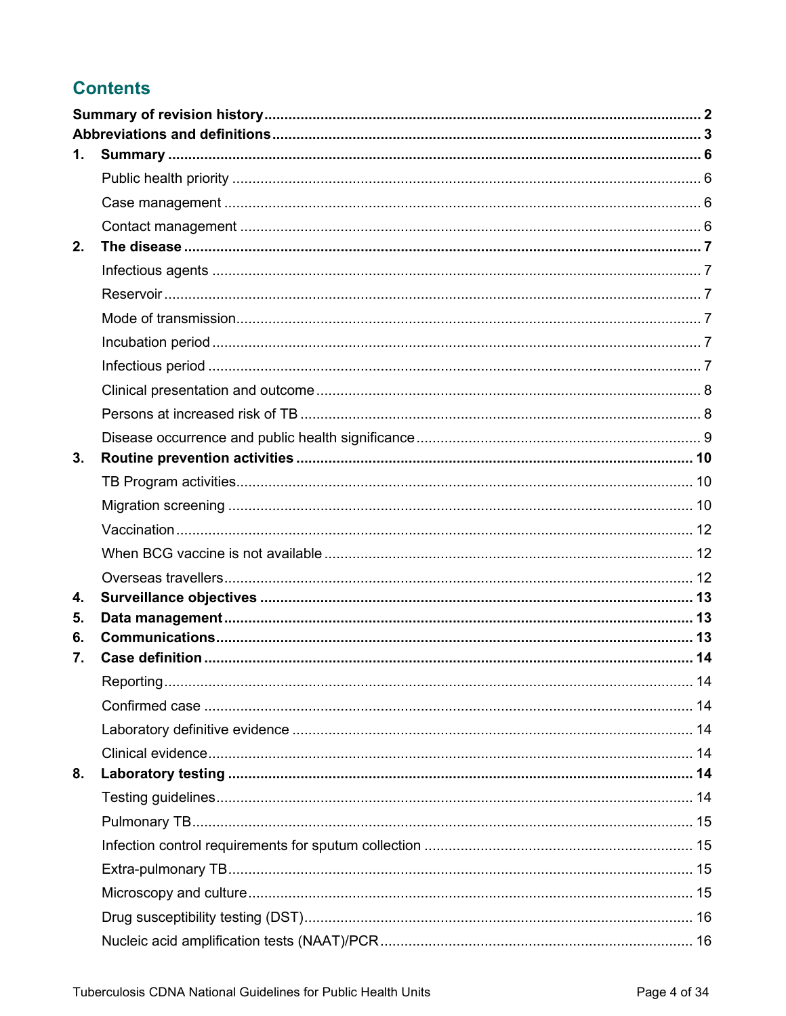# **Contents**

| 1. |            |  |
|----|------------|--|
|    |            |  |
|    |            |  |
|    |            |  |
| 2. |            |  |
|    |            |  |
|    |            |  |
|    |            |  |
|    |            |  |
|    |            |  |
|    |            |  |
|    |            |  |
|    |            |  |
| 3. |            |  |
|    |            |  |
|    |            |  |
|    |            |  |
|    |            |  |
|    |            |  |
| 4. |            |  |
| 5. |            |  |
| 6. |            |  |
| 7. |            |  |
|    | Reporting. |  |
|    |            |  |
|    |            |  |
|    |            |  |
| 8. |            |  |
|    |            |  |
|    |            |  |
|    |            |  |
|    |            |  |
|    |            |  |
|    |            |  |
|    |            |  |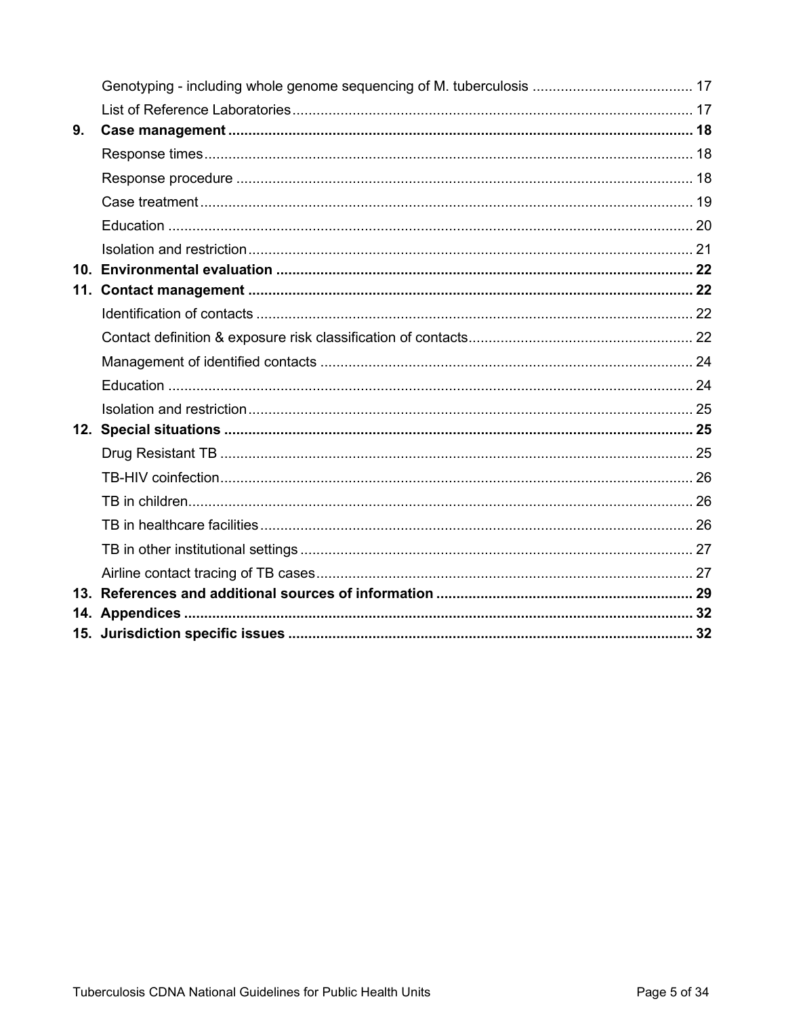| 9. |  |
|----|--|
|    |  |
|    |  |
|    |  |
|    |  |
|    |  |
|    |  |
|    |  |
|    |  |
|    |  |
|    |  |
|    |  |
|    |  |
|    |  |
|    |  |
|    |  |
|    |  |
|    |  |
|    |  |
|    |  |
|    |  |
|    |  |
|    |  |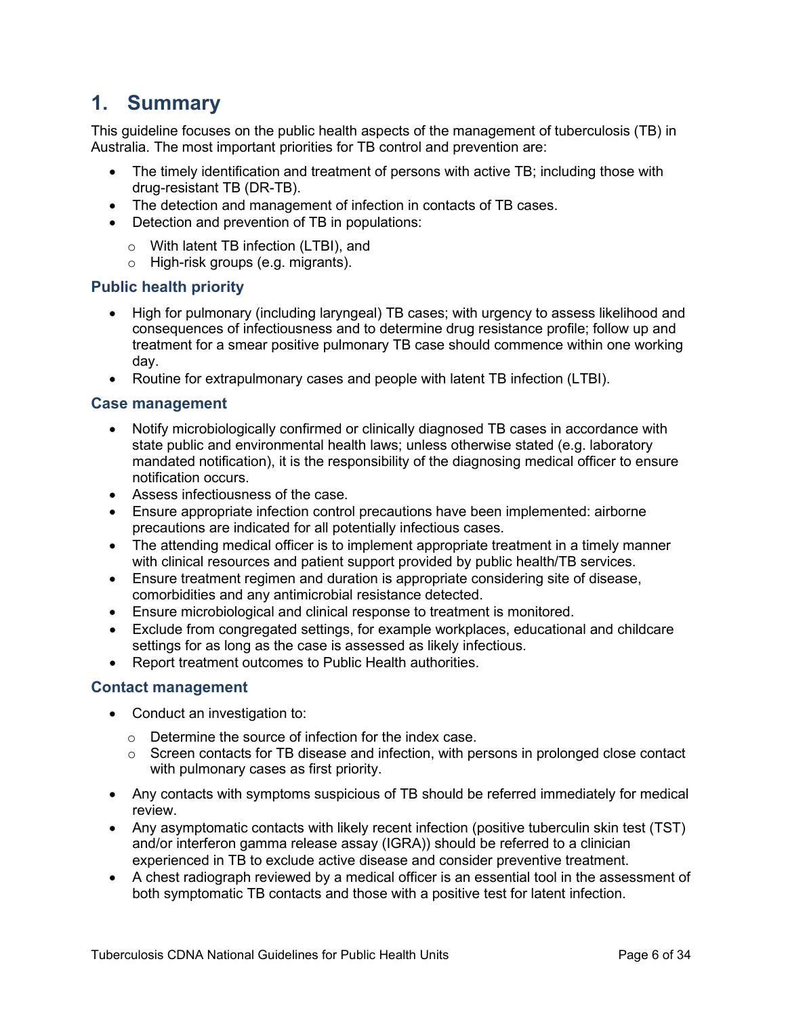# <span id="page-5-0"></span>**1. Summary**

This guideline focuses on the public health aspects of the management of tuberculosis (TB) in Australia. The most important priorities for TB control and prevention are:

- The timely identification and treatment of persons with active TB; including those with drug-resistant TB (DR-TB).
- The detection and management of infection in contacts of TB cases.
- Detection and prevention of TB in populations:
	- o With latent TB infection (LTBI), and
	- o High-risk groups (e.g. migrants).

### <span id="page-5-1"></span>**Public health priority**

- High for pulmonary (including laryngeal) TB cases; with urgency to assess likelihood and consequences of infectiousness and to determine drug resistance profile; follow up and treatment for a smear positive pulmonary TB case should commence within one working day.
- Routine for extrapulmonary cases and people with latent TB infection (LTBI).

#### <span id="page-5-2"></span>**Case management**

- Notify microbiologically confirmed or clinically diagnosed TB cases in accordance with state public and environmental health laws; unless otherwise stated (e.g. laboratory mandated notification), it is the responsibility of the diagnosing medical officer to ensure notification occurs.
- Assess infectiousness of the case.
- Ensure appropriate infection control precautions have been implemented: airborne precautions are indicated for all potentially infectious cases.
- The attending medical officer is to implement appropriate treatment in a timely manner with clinical resources and patient support provided by public health/TB services.
- Ensure treatment regimen and duration is appropriate considering site of disease, comorbidities and any antimicrobial resistance detected.
- Ensure microbiological and clinical response to treatment is monitored.
- Exclude from congregated settings, for example workplaces, educational and childcare settings for as long as the case is assessed as likely infectious.
- Report treatment outcomes to Public Health authorities.

#### <span id="page-5-3"></span>**Contact management**

- Conduct an investigation to:
	- o Determine the source of infection for the index case.
	- o Screen contacts for TB disease and infection, with persons in prolonged close contact with pulmonary cases as first priority.
- Any contacts with symptoms suspicious of TB should be referred immediately for medical review.
- Any asymptomatic contacts with likely recent infection (positive tuberculin skin test (TST) and/or interferon gamma release assay (IGRA)) should be referred to a clinician experienced in TB to exclude active disease and consider preventive treatment.
- A chest radiograph reviewed by a medical officer is an essential tool in the assessment of both symptomatic TB contacts and those with a positive test for latent infection.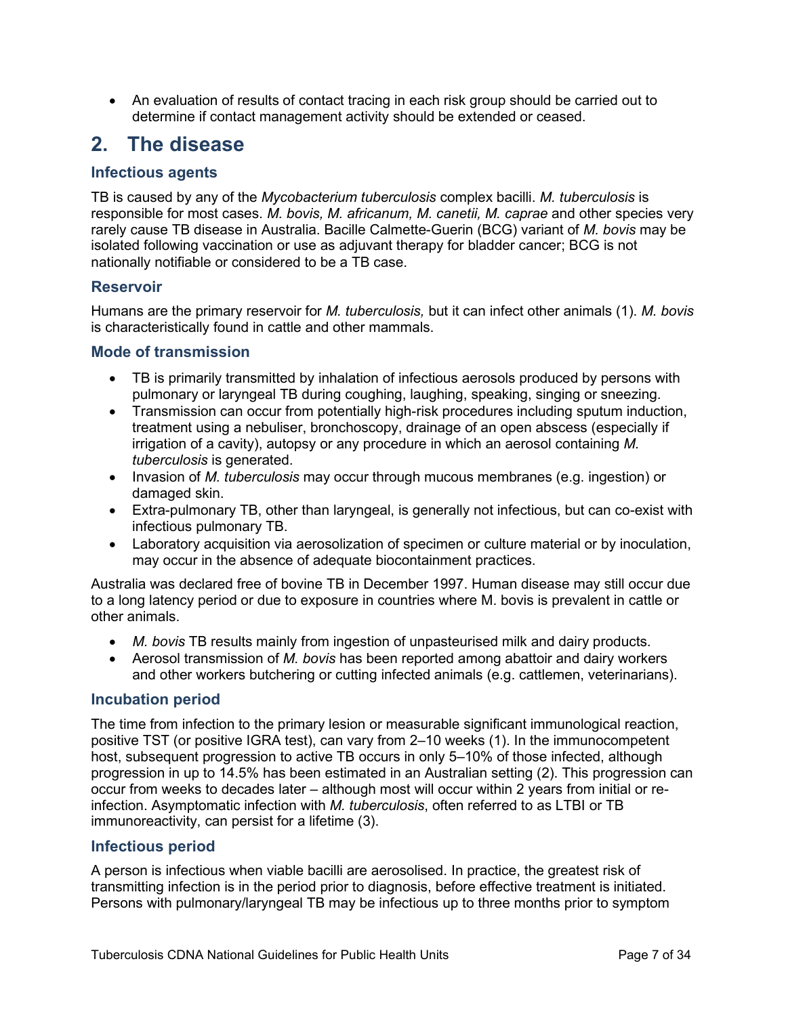• An evaluation of results of contact tracing in each risk group should be carried out to determine if contact management activity should be extended or ceased.

# <span id="page-6-0"></span>**2. The disease**

# <span id="page-6-1"></span>**Infectious agents**

TB is caused by any of the *Mycobacterium tuberculosis* complex bacilli. *M. tuberculosis* is responsible for most cases. *M. bovis, M. africanum, M. canetii, M. caprae* and other species very rarely cause TB disease in Australia. Bacille Calmette-Guerin (BCG) variant of *M. bovis* may be isolated following vaccination or use as adjuvant therapy for bladder cancer; BCG is not nationally notifiable or considered to be a TB case.

# <span id="page-6-2"></span>**Reservoir**

Humans are the primary reservoir for *M. tuberculosis,* but it can infect other animals (1). *M. bovis* is characteristically found in cattle and other mammals.

### <span id="page-6-3"></span>**Mode of transmission**

- TB is primarily transmitted by inhalation of infectious aerosols produced by persons with pulmonary or laryngeal TB during coughing, laughing, speaking, singing or sneezing.
- Transmission can occur from potentially high-risk procedures including sputum induction, treatment using a nebuliser, bronchoscopy, drainage of an open abscess (especially if irrigation of a cavity), autopsy or any procedure in which an aerosol containing *M. tuberculosis* is generated.
- Invasion of *M. tuberculosis* may occur through mucous membranes (e.g. ingestion) or damaged skin.
- Extra-pulmonary TB, other than laryngeal, is generally not infectious, but can co-exist with infectious pulmonary TB.
- Laboratory acquisition via aerosolization of specimen or culture material or by inoculation, may occur in the absence of adequate biocontainment practices.

Australia was declared free of bovine TB in December 1997. Human disease may still occur due to a long latency period or due to exposure in countries where M. bovis is prevalent in cattle or other animals.

- *M. bovis* TB results mainly from ingestion of unpasteurised milk and dairy products.
- Aerosol transmission of *M. bovis* has been reported among abattoir and dairy workers and other workers butchering or cutting infected animals (e.g. cattlemen, veterinarians).

#### <span id="page-6-4"></span>**Incubation period**

The time from infection to the primary lesion or measurable significant immunological reaction, positive TST (or positive IGRA test), can vary from 2–10 weeks (1). In the immunocompetent host, subsequent progression to active TB occurs in only 5–10% of those infected, although progression in up to 14.5% has been estimated in an Australian setting (2). This progression can occur from weeks to decades later – although most will occur within 2 years from initial or reinfection. Asymptomatic infection with *M. tuberculosis*, often referred to as LTBI or TB immunoreactivity, can persist for a lifetime (3).

# <span id="page-6-5"></span>**Infectious period**

A person is infectious when viable bacilli are aerosolised. In practice, the greatest risk of transmitting infection is in the period prior to diagnosis, before effective treatment is initiated. Persons with pulmonary/laryngeal TB may be infectious up to three months prior to symptom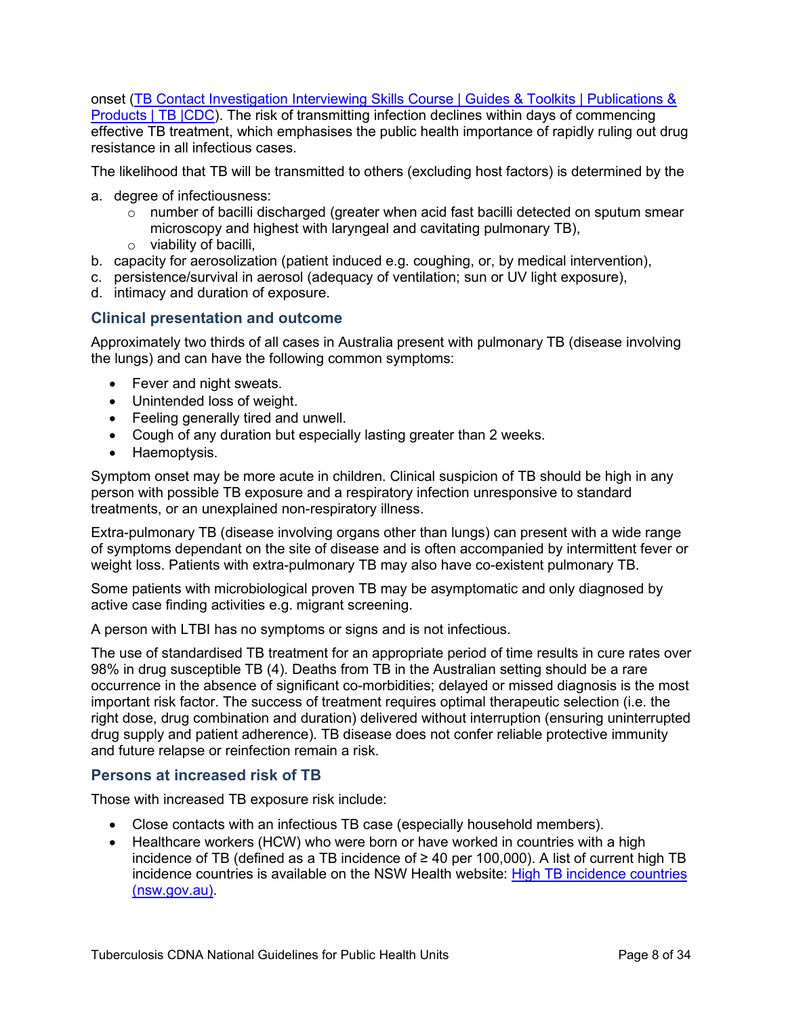onset (TB Contact Investigation Interviewing Skills Course | Guides & Toolkits | Publications &

Products | TB  $|CDC|$ . The risk of transmitting infection declines within days of commencing effective TB treatment, which emphasises the public health importance of rapidly ruling out drug resistance in all infectious cases.

The likelihood that TB will be transmitted to others (excluding host factors) is determined by the

- a. degree of infectiousness:
	- $\circ$  number of bacilli discharged (greater when acid fast bacilli detected on sputum smear microscopy and highest with laryngeal and cavitating pulmonary TB),
	- $\circ$  viability of bacilli,
- b. capacity for aerosolization (patient induced e.g. coughing, or, by medical intervention),
- c. persistence/survival in aerosol (adequacy of ventilation; sun or UV light exposure),
- d. intimacy and duration of exposure.

#### <span id="page-7-0"></span>**Clinical presentation and outcome**

Approximately two thirds of all cases in Australia present with pulmonary TB (disease involving the lungs) and can have the following common symptoms:

- Fever and night sweats.
- Unintended loss of weight.
- Feeling generally tired and unwell.
- Cough of any duration but especially lasting greater than 2 weeks.
- Haemoptysis.

Symptom onset may be more acute in children. Clinical suspicion of TB should be high in any person with possible TB exposure and a respiratory infection unresponsive to standard treatments, or an unexplained non-respiratory illness.

Extra-pulmonary TB (disease involving organs other than lungs) can present with a wide range of symptoms dependant on the site of disease and is often accompanied by intermittent fever or weight loss. Patients with extra-pulmonary TB may also have co-existent pulmonary TB.

Some patients with microbiological proven TB may be asymptomatic and only diagnosed by active case finding activities e.g. migrant screening.

A person with LTBI has no symptoms or signs and is not infectious.

The use of standardised TB treatment for an appropriate period of time results in cure rates over 98% in drug susceptible TB (4). Deaths from TB in the Australian setting should be a rare occurrence in the absence of significant co-morbidities; delayed or missed diagnosis is the most important risk factor. The success of treatment requires optimal therapeutic selection (i.e. the right dose, drug combination and duration) delivered without interruption (ensuring uninterrupted drug supply and patient adherence). TB disease does not confer reliable protective immunity and future relapse or reinfection remain a risk.

#### <span id="page-7-1"></span>**Persons at increased risk of TB**

Those with increased TB exposure risk include:

- Close contacts with an infectious TB case (especially household members).
- Healthcare workers (HCW) who were born or have worked in countries with a high incidence of TB (defined as a TB incidence of  $\geq$  40 per 100,000). A list of current high TB incidence countries is available on the NSW Health website: High TB incidence countries [\(nsw.gov.au\).](https://www.health.nsw.gov.au/Infectious/tuberculosis/Pages/high-incidence-countries.aspx)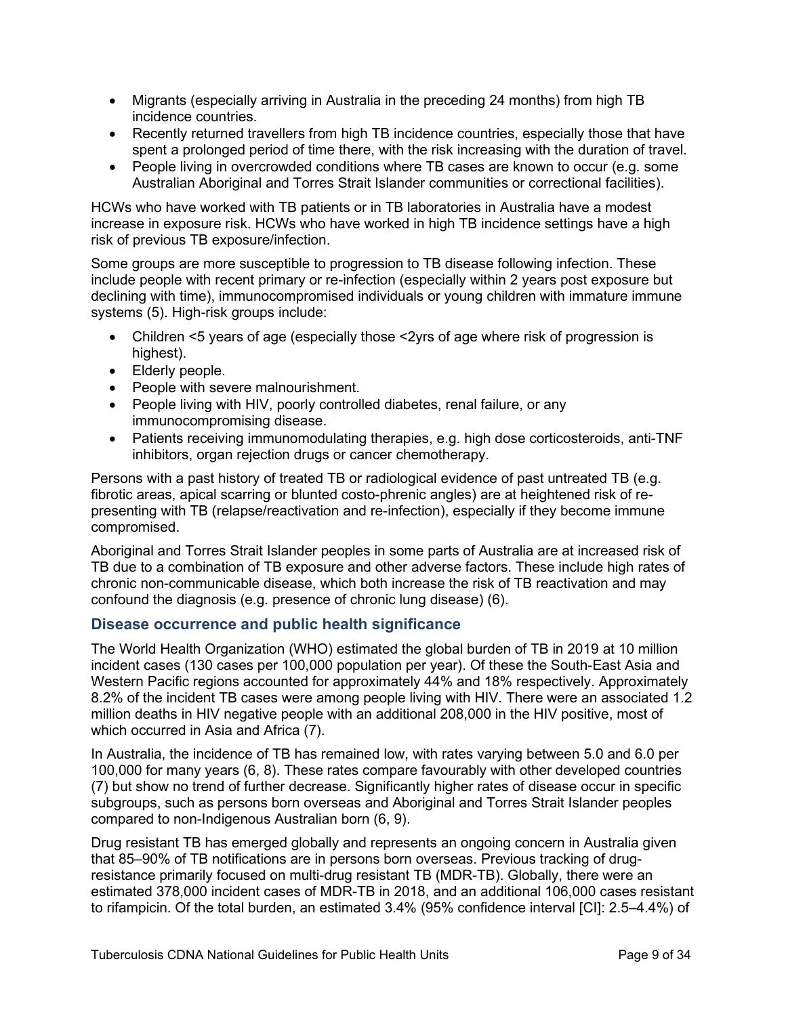- Migrants (especially arriving in Australia in the preceding 24 months) from high TB incidence countries.
- Recently returned travellers from high TB incidence countries, especially those that have spent a prolonged period of time there, with the risk increasing with the duration of travel.
- People living in overcrowded conditions where TB cases are known to occur (e.g. some Australian Aboriginal and Torres Strait Islander communities or correctional facilities).

HCWs who have worked with TB patients or in TB laboratories in Australia have a modest increase in exposure risk. HCWs who have worked in high TB incidence settings have a high risk of previous TB exposure/infection.

Some groups are more susceptible to progression to TB disease following infection. These include people with recent primary or re-infection (especially within 2 years post exposure but declining with time), immunocompromised individuals or young children with immature immune systems (5). High-risk groups include:

- Children <5 years of age (especially those <2yrs of age where risk of progression is highest).
- Elderly people.
- People with severe malnourishment.
- People living with HIV, poorly controlled diabetes, renal failure, or any immunocompromising disease.
- Patients receiving immunomodulating therapies, e.g. high dose corticosteroids, anti-TNF inhibitors, organ rejection drugs or cancer chemotherapy.

Persons with a past history of treated TB or radiological evidence of past untreated TB (e.g. fibrotic areas, apical scarring or blunted costo-phrenic angles) are at heightened risk of representing with TB (relapse/reactivation and re-infection), especially if they become immune compromised.

Aboriginal and Torres Strait Islander peoples in some parts of Australia are at increased risk of TB due to a combination of TB exposure and other adverse factors. These include high rates of chronic non-communicable disease, which both increase the risk of TB reactivation and may confound the diagnosis (e.g. presence of chronic lung disease) (6).

# <span id="page-8-0"></span>**Disease occurrence and public health significance**

The World Health Organization (WHO) estimated the global burden of TB in 2019 at 10 million incident cases (130 cases per 100,000 population per year). Of these the South-East Asia and Western Pacific regions accounted for approximately 44% and 18% respectively. Approximately 8.2% of the incident TB cases were among people living with HIV. There were an associated 1.2 million deaths in HIV negative people with an additional 208,000 in the HIV positive, most of which occurred in Asia and Africa (7).

In Australia, the incidence of TB has remained low, with rates varying between 5.0 and 6.0 per 100,000 for many years (6, 8). These rates compare favourably with other developed countries (7) but show no trend of further decrease. Significantly higher rates of disease occur in specific subgroups, such as persons born overseas and Aboriginal and Torres Strait Islander peoples compared to non-Indigenous Australian born (6, 9).

Drug resistant TB has emerged globally and represents an ongoing concern in Australia given that 85–90% of TB notifications are in persons born overseas. Previous tracking of drugresistance primarily focused on multi-drug resistant TB (MDR-TB). Globally, there were an estimated 378,000 incident cases of MDR-TB in 2018, and an additional 106,000 cases resistant to rifampicin. Of the total burden, an estimated 3.4% (95% confidence interval [CI]: 2.5–4.4%) of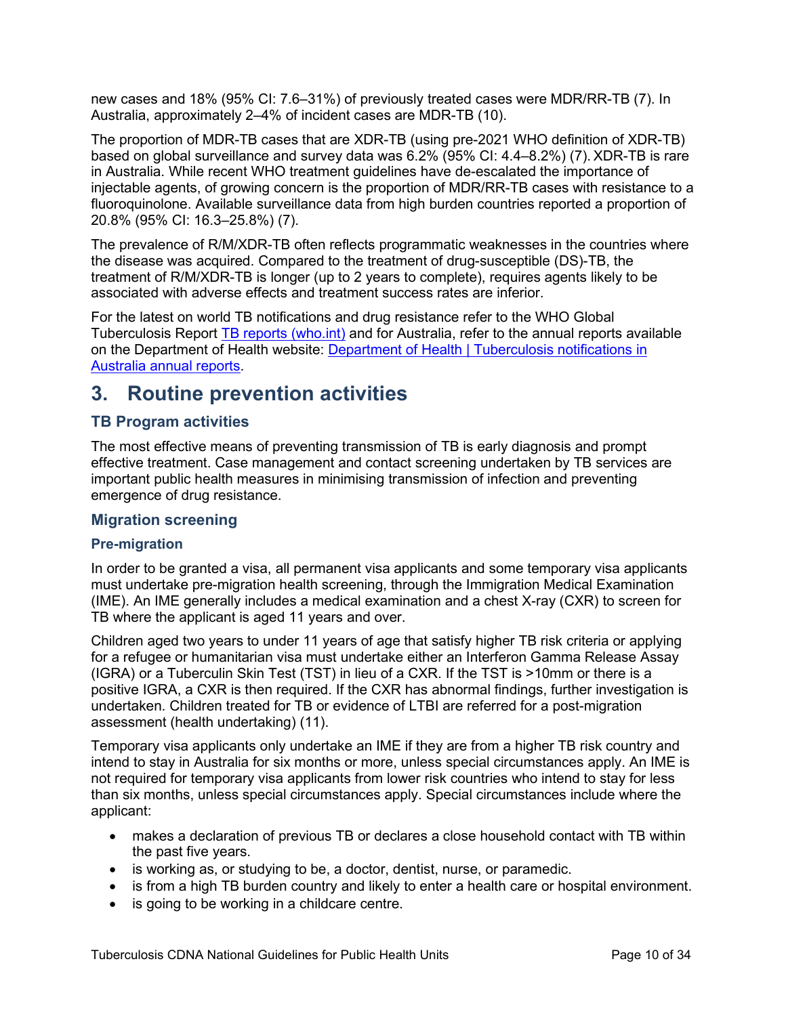new cases and 18% (95% CI: 7.6–31%) of previously treated cases were MDR/RR-TB (7). In Australia, approximately 2–4% of incident cases are MDR-TB (10).

The proportion of MDR-TB cases that are XDR-TB (using pre-2021 WHO definition of XDR-TB) based on global surveillance and survey data was 6.2% (95% CI: 4.4–8.2%) (7). XDR-TB is rare in Australia. While recent WHO treatment guidelines have de-escalated the importance of injectable agents, of growing concern is the proportion of MDR/RR-TB cases with resistance to a fluoroquinolone. Available surveillance data from high burden countries reported a proportion of 20.8% (95% CI: 16.3–25.8%) (7).

The prevalence of R/M/XDR-TB often reflects programmatic weaknesses in the countries where the disease was acquired. Compared to the treatment of drug-susceptible (DS)-TB, the treatment of R/M/XDR-TB is longer (up to 2 years to complete), requires agents likely to be associated with adverse effects and treatment success rates are inferior.

For the latest on world TB notifications and drug resistance refer to the WHO Global Tuberculosis Report [TB reports \(who.int\)](https://www.who.int/teams/global-tuberculosis-programme/tb-reports) and for Australia, refer to the annual reports available on the Department of Health website: Department of Health | Tuberculosis notifications in [Australia annual reports.](https://www1.health.gov.au/internet/main/publishing.nsf/content/cda-pubs-annlrpt-tbannrep.htm)

# <span id="page-9-0"></span>**3. Routine prevention activities**

# <span id="page-9-1"></span>**TB Program activities**

The most effective means of preventing transmission of TB is early diagnosis and prompt effective treatment. Case management and contact screening undertaken by TB services are important public health measures in minimising transmission of infection and preventing emergence of drug resistance.

# <span id="page-9-2"></span>**Migration screening**

#### **Pre-migration**

In order to be granted a visa, all permanent visa applicants and some temporary visa applicants must undertake pre-migration health screening, through the Immigration Medical Examination (IME). An IME generally includes a medical examination and a chest X-ray (CXR) to screen for TB where the applicant is aged 11 years and over.

Children aged two years to under 11 years of age that satisfy higher TB risk criteria or applying for a refugee or humanitarian visa must undertake either an Interferon Gamma Release Assay (IGRA) or a Tuberculin Skin Test (TST) in lieu of a CXR. If the TST is >10mm or there is a positive IGRA, a CXR is then required. If the CXR has abnormal findings, further investigation is undertaken. Children treated for TB or evidence of LTBI are referred for a post-migration assessment (health undertaking) (11).

Temporary visa applicants only undertake an IME if they are from a higher TB risk country and intend to stay in Australia for six months or more, unless special circumstances apply. An IME is not required for temporary visa applicants from lower risk countries who intend to stay for less than six months, unless special circumstances apply. Special circumstances include where the applicant:

- makes a declaration of previous TB or declares a close household contact with TB within the past five years.
- is working as, or studying to be, a doctor, dentist, nurse, or paramedic.
- is from a high TB burden country and likely to enter a health care or hospital environment.
- is going to be working in a childcare centre.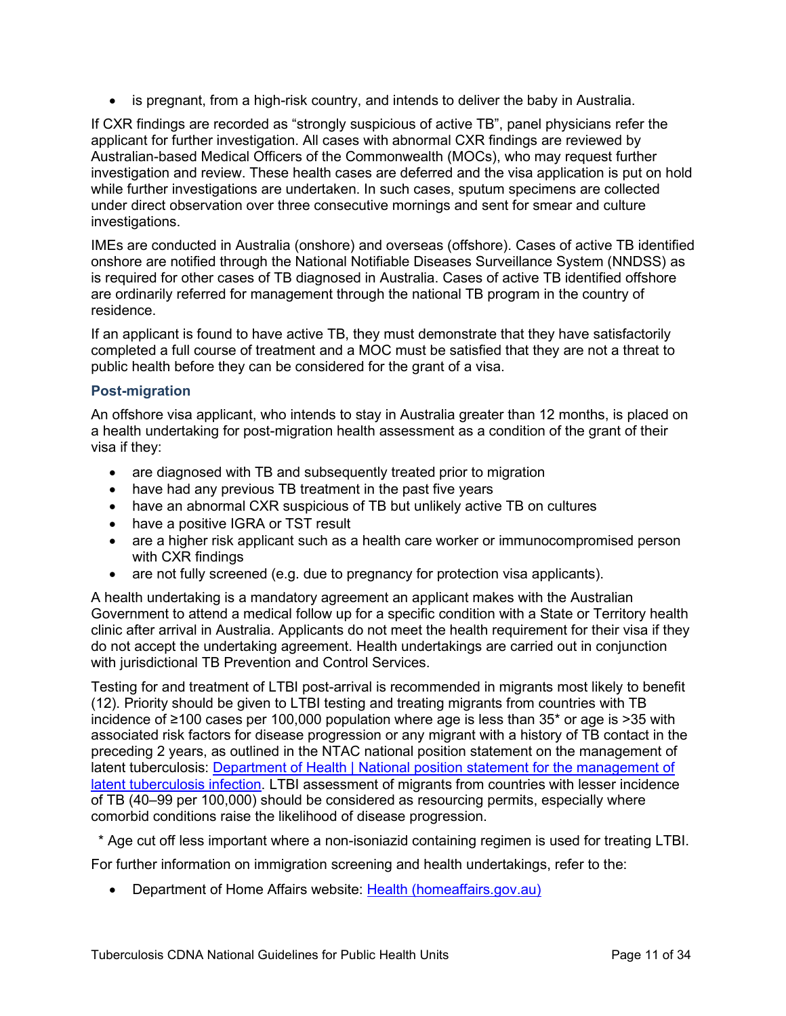• is pregnant, from a high-risk country, and intends to deliver the baby in Australia.

If CXR findings are recorded as "strongly suspicious of active TB", panel physicians refer the applicant for further investigation. All cases with abnormal CXR findings are reviewed by Australian-based Medical Officers of the Commonwealth (MOCs), who may request further investigation and review. These health cases are deferred and the visa application is put on hold while further investigations are undertaken. In such cases, sputum specimens are collected under direct observation over three consecutive mornings and sent for smear and culture investigations.

IMEs are conducted in Australia (onshore) and overseas (offshore). Cases of active TB identified onshore are notified through the National Notifiable Diseases Surveillance System (NNDSS) as is required for other cases of TB diagnosed in Australia. Cases of active TB identified offshore are ordinarily referred for management through the national TB program in the country of residence.

If an applicant is found to have active TB, they must demonstrate that they have satisfactorily completed a full course of treatment and a MOC must be satisfied that they are not a threat to public health before they can be considered for the grant of a visa.

#### **Post-migration**

An offshore visa applicant, who intends to stay in Australia greater than 12 months, is placed on a health undertaking for post-migration health assessment as a condition of the grant of their visa if they:

- are diagnosed with TB and subsequently treated prior to migration
- have had any previous TB treatment in the past five years
- have an abnormal CXR suspicious of TB but unlikely active TB on cultures
- have a positive IGRA or TST result
- are a higher risk applicant such as a health care worker or immunocompromised person with CXR findings
- are not fully screened (e.g. due to pregnancy for protection visa applicants).

A health undertaking is a mandatory agreement an applicant makes with the Australian Government to attend a medical follow up for a specific condition with a State or Territory health clinic after arrival in Australia. Applicants do not meet the health requirement for their visa if they do not accept the undertaking agreement. Health undertakings are carried out in conjunction with jurisdictional TB Prevention and Control Services.

Testing for and treatment of LTBI post-arrival is recommended in migrants most likely to benefit (12). Priority should be given to LTBI testing and treating migrants from countries with TB incidence of ≥100 cases per 100,000 population where age is less than 35\* or age is >35 with associated risk factors for disease progression or any migrant with a history of TB contact in the preceding 2 years, as outlined in the NTAC national position statement on the management of latent tuberculosis: [Department of Health | National position statement for the management of](https://www1.health.gov.au/internet/main/publishing.nsf/Content/cdi4103-d)  [latent tuberculosis](https://www1.health.gov.au/internet/main/publishing.nsf/Content/cdi4103-d) infection. LTBI assessment of migrants from countries with lesser incidence of TB (40–99 per 100,000) should be considered as resourcing permits, especially where comorbid conditions raise the likelihood of disease progression.

\* Age cut off less important where a non-isoniazid containing regimen is used for treating LTBI.

For further information on immigration screening and health undertakings, refer to the:

• Department of Home Affairs website: [Health \(homeaffairs.gov.au\)](https://immi.homeaffairs.gov.au/help-support/meeting-our-requirements/health)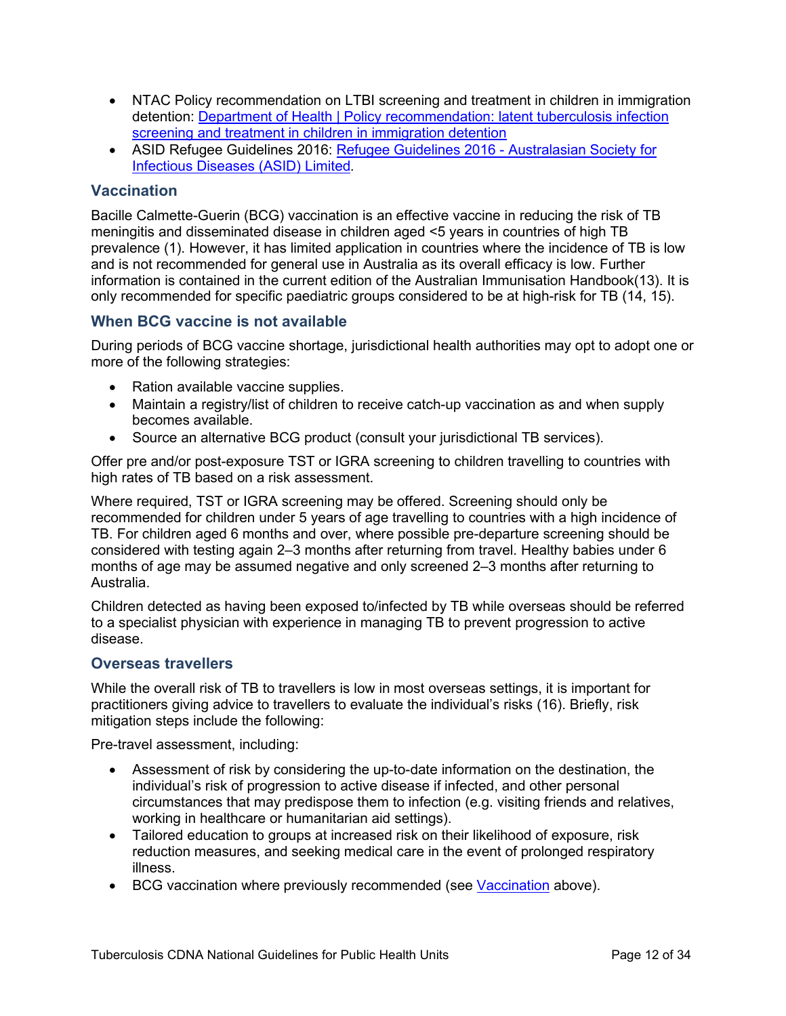- NTAC Policy recommendation on LTBI screening and treatment in children in immigration detention: [Department of Health | Policy recommendation: latent tuberculosis infection](https://www1.health.gov.au/internet/main/publishing.nsf/Content/cda-cdi3904e.htm)  [screening and treatment in children in immigration detention](https://www1.health.gov.au/internet/main/publishing.nsf/Content/cda-cdi3904e.htm)
- ASID Refugee Guidelines 2016: [Refugee Guidelines 2016 -](https://www.asid.net.au/products/refugee-guidelines-2016) Australasian Society for [Infectious Diseases \(ASID\) Limited](https://www.asid.net.au/products/refugee-guidelines-2016)*.*

# <span id="page-11-0"></span>**Vaccination**

Bacille Calmette-Guerin (BCG) vaccination is an effective vaccine in reducing the risk of TB meningitis and disseminated disease in children aged <5 years in countries of high TB prevalence (1). However, it has limited application in countries where the incidence of TB is low and is not recommended for general use in Australia as its overall efficacy is low. Further information is contained in the current edition of the Australian Immunisation Handbook(13). It is only recommended for specific paediatric groups considered to be at high-risk for TB (14, 15).

### <span id="page-11-1"></span>**When BCG vaccine is not available**

During periods of BCG vaccine shortage, jurisdictional health authorities may opt to adopt one or more of the following strategies:

- Ration available vaccine supplies.
- Maintain a registry/list of children to receive catch-up vaccination as and when supply becomes available.
- Source an alternative BCG product (consult your jurisdictional TB services).

Offer pre and/or post-exposure TST or IGRA screening to children travelling to countries with high rates of TB based on a risk assessment.

Where required, TST or IGRA screening may be offered. Screening should only be recommended for children under 5 years of age travelling to countries with a high incidence of TB. For children aged 6 months and over, where possible pre-departure screening should be considered with testing again 2–3 months after returning from travel. Healthy babies under 6 months of age may be assumed negative and only screened 2–3 months after returning to Australia.

Children detected as having been exposed to/infected by TB while overseas should be referred to a specialist physician with experience in managing TB to prevent progression to active disease.

#### <span id="page-11-2"></span>**Overseas travellers**

While the overall risk of TB to travellers is low in most overseas settings, it is important for practitioners giving advice to travellers to evaluate the individual's risks (16). Briefly, risk mitigation steps include the following:

Pre-travel assessment, including:

- Assessment of risk by considering the up-to-date information on the destination, the individual's risk of progression to active disease if infected, and other personal circumstances that may predispose them to infection (e.g. visiting friends and relatives, working in healthcare or humanitarian aid settings).
- Tailored education to groups at increased risk on their likelihood of exposure, risk reduction measures, and seeking medical care in the event of prolonged respiratory illness.
- BCG vaccination where previously recommended (see [Vaccination](#page-11-0) above).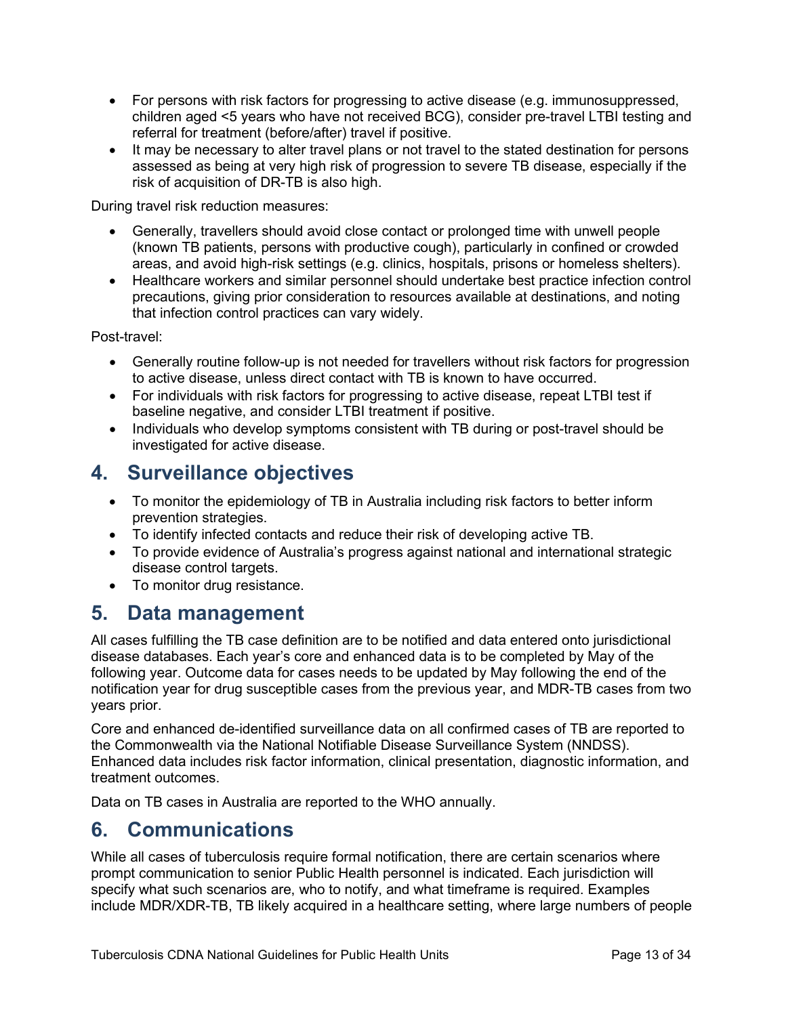- For persons with risk factors for progressing to active disease (e.g. immunosuppressed, children aged <5 years who have not received BCG), consider pre-travel LTBI testing and referral for treatment (before/after) travel if positive.
- It may be necessary to alter travel plans or not travel to the stated destination for persons assessed as being at very high risk of progression to severe TB disease, especially if the risk of acquisition of DR-TB is also high.

During travel risk reduction measures:

- Generally, travellers should avoid close contact or prolonged time with unwell people (known TB patients, persons with productive cough), particularly in confined or crowded areas, and avoid high-risk settings (e.g. clinics, hospitals, prisons or homeless shelters).
- Healthcare workers and similar personnel should undertake best practice infection control precautions, giving prior consideration to resources available at destinations, and noting that infection control practices can vary widely.

Post-travel:

- Generally routine follow-up is not needed for travellers without risk factors for progression to active disease, unless direct contact with TB is known to have occurred.
- For individuals with risk factors for progressing to active disease, repeat LTBI test if baseline negative, and consider LTBI treatment if positive.
- Individuals who develop symptoms consistent with TB during or post-travel should be investigated for active disease.

# <span id="page-12-0"></span>**4. Surveillance objectives**

- To monitor the epidemiology of TB in Australia including risk factors to better inform prevention strategies.
- To identify infected contacts and reduce their risk of developing active TB.
- To provide evidence of Australia's progress against national and international strategic disease control targets.
- To monitor drug resistance.

# <span id="page-12-1"></span>**5. Data management**

All cases fulfilling the TB case definition are to be notified and data entered onto jurisdictional disease databases. Each year's core and enhanced data is to be completed by May of the following year. Outcome data for cases needs to be updated by May following the end of the notification year for drug susceptible cases from the previous year, and MDR-TB cases from two years prior.

Core and enhanced de-identified surveillance data on all confirmed cases of TB are reported to the Commonwealth via the National Notifiable Disease Surveillance System (NNDSS). Enhanced data includes risk factor information, clinical presentation, diagnostic information, and treatment outcomes.

Data on TB cases in Australia are reported to the WHO annually.

# <span id="page-12-2"></span>**6. Communications**

While all cases of tuberculosis require formal notification, there are certain scenarios where prompt communication to senior Public Health personnel is indicated. Each jurisdiction will specify what such scenarios are, who to notify, and what timeframe is required. Examples include MDR/XDR-TB, TB likely acquired in a healthcare setting, where large numbers of people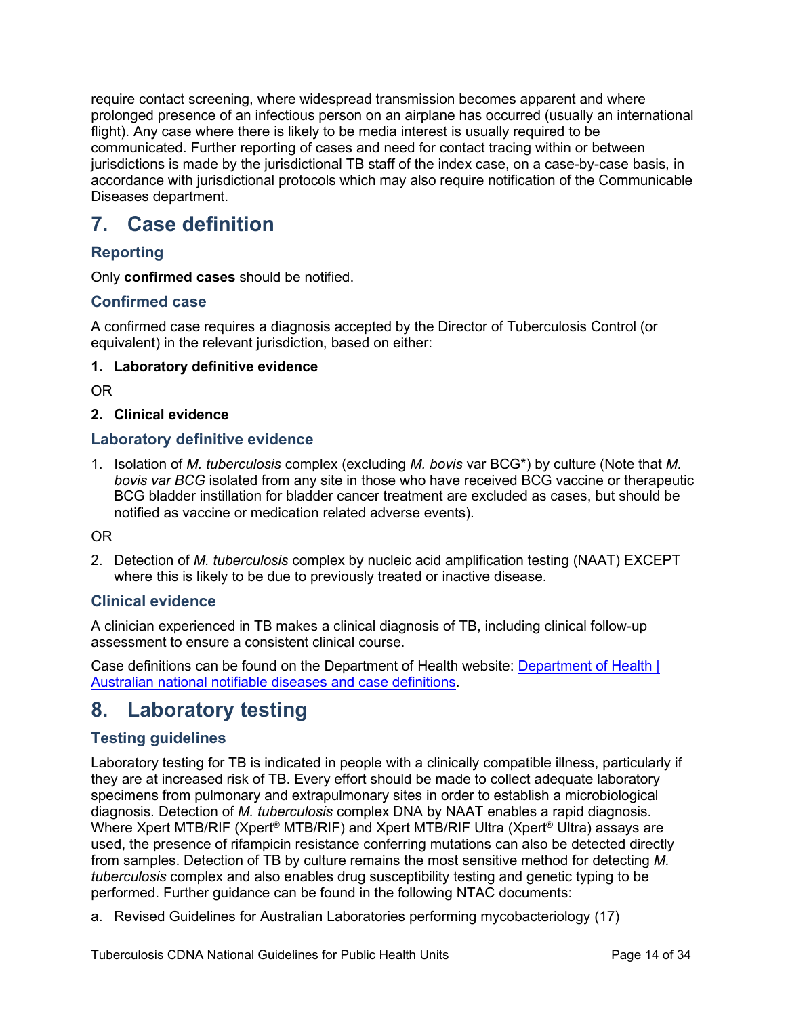require contact screening, where widespread transmission becomes apparent and where prolonged presence of an infectious person on an airplane has occurred (usually an international flight). Any case where there is likely to be media interest is usually required to be communicated. Further reporting of cases and need for contact tracing within or between jurisdictions is made by the jurisdictional TB staff of the index case, on a case-by-case basis, in accordance with jurisdictional protocols which may also require notification of the Communicable Diseases department.

# <span id="page-13-0"></span>**7. Case definition**

# <span id="page-13-1"></span>**Reporting**

Only **confirmed cases** should be notified.

# <span id="page-13-2"></span>**Confirmed case**

A confirmed case requires a diagnosis accepted by the Director of Tuberculosis Control (or equivalent) in the relevant jurisdiction, based on either:

### **1. Laboratory definitive evidence**

OR

### **2. Clinical evidence**

### <span id="page-13-3"></span>**Laboratory definitive evidence**

1. Isolation of *M. tuberculosis* complex (excluding *M. bovis* var BCG\*) by culture (Note that *M. bovis var BCG* isolated from any site in those who have received BCG vaccine or therapeutic BCG bladder instillation for bladder cancer treatment are excluded as cases, but should be notified as vaccine or medication related adverse events).

#### OR

2. Detection of *M. tuberculosis* complex by nucleic acid amplification testing (NAAT) EXCEPT where this is likely to be due to previously treated or inactive disease.

# <span id="page-13-4"></span>**Clinical evidence**

A clinician experienced in TB makes a clinical diagnosis of TB, including clinical follow-up assessment to ensure a consistent clinical course.

Case definitions can be found on the Department of Health website: [Department of Health |](https://www1.health.gov.au/internet/main/publishing.nsf/Content/cdna-casedefinitions.htm?Open=&utm_source=health.gov.au&utm_medium=redirect&utm_campaign=digital_transformation&utm_content=casedefinitions)  [Australian national notifiable diseases and case definitions.](https://www1.health.gov.au/internet/main/publishing.nsf/Content/cdna-casedefinitions.htm?Open=&utm_source=health.gov.au&utm_medium=redirect&utm_campaign=digital_transformation&utm_content=casedefinitions)

# <span id="page-13-5"></span>**8. Laboratory testing**

# <span id="page-13-6"></span>**Testing guidelines**

Laboratory testing for TB is indicated in people with a clinically compatible illness, particularly if they are at increased risk of TB. Every effort should be made to collect adequate laboratory specimens from pulmonary and extrapulmonary sites in order to establish a microbiological diagnosis. Detection of *M. tuberculosis* complex DNA by NAAT enables a rapid diagnosis. Where Xpert MTB/RIF (Xpert<sup>®</sup> MTB/RIF) and Xpert MTB/RIF Ultra (Xpert<sup>®</sup> Ultra) assays are used, the presence of rifampicin resistance conferring mutations can also be detected directly from samples. Detection of TB by culture remains the most sensitive method for detecting *M. tuberculosis* complex and also enables drug susceptibility testing and genetic typing to be performed. Further guidance can be found in the following NTAC documents:

a. Revised Guidelines for Australian Laboratories performing mycobacteriology (17)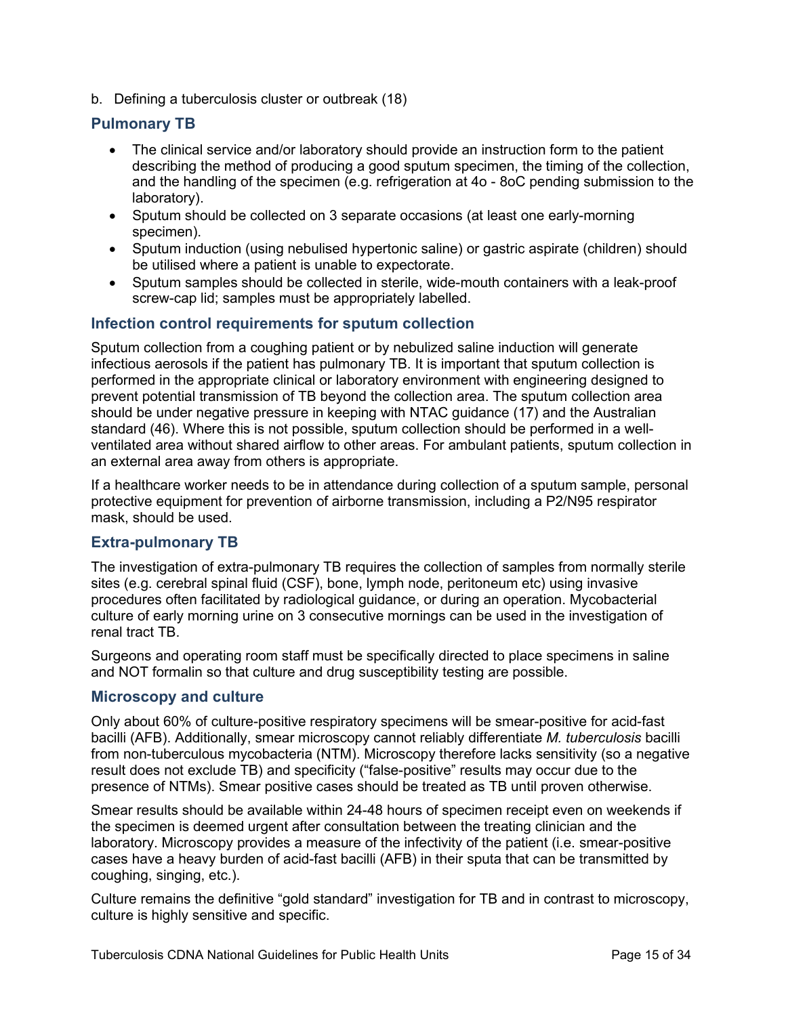b. Defining a tuberculosis cluster or outbreak (18)

# <span id="page-14-0"></span>**Pulmonary TB**

- The clinical service and/or laboratory should provide an instruction form to the patient describing the method of producing a good sputum specimen, the timing of the collection, and the handling of the specimen (e.g. refrigeration at 4o - 8oC pending submission to the laboratory).
- Sputum should be collected on 3 separate occasions (at least one early-morning specimen).
- Sputum induction (using nebulised hypertonic saline) or gastric aspirate (children) should be utilised where a patient is unable to expectorate.
- Sputum samples should be collected in sterile, wide-mouth containers with a leak-proof screw-cap lid; samples must be appropriately labelled.

# <span id="page-14-1"></span>**Infection control requirements for sputum collection**

Sputum collection from a coughing patient or by nebulized saline induction will generate infectious aerosols if the patient has pulmonary TB. It is important that sputum collection is performed in the appropriate clinical or laboratory environment with engineering designed to prevent potential transmission of TB beyond the collection area. The sputum collection area should be under negative pressure in keeping with NTAC guidance (17) and the Australian standard (46). Where this is not possible, sputum collection should be performed in a wellventilated area without shared airflow to other areas. For ambulant patients, sputum collection in an external area away from others is appropriate.

If a healthcare worker needs to be in attendance during collection of a sputum sample, personal protective equipment for prevention of airborne transmission, including a P2/N95 respirator mask, should be used.

# <span id="page-14-2"></span>**Extra-pulmonary TB**

The investigation of extra-pulmonary TB requires the collection of samples from normally sterile sites (e.g. cerebral spinal fluid (CSF), bone, lymph node, peritoneum etc) using invasive procedures often facilitated by radiological guidance, or during an operation. Mycobacterial culture of early morning urine on 3 consecutive mornings can be used in the investigation of renal tract TB.

Surgeons and operating room staff must be specifically directed to place specimens in saline and NOT formalin so that culture and drug susceptibility testing are possible.

#### <span id="page-14-3"></span>**Microscopy and culture**

Only about 60% of culture-positive respiratory specimens will be smear-positive for acid-fast bacilli (AFB). Additionally, smear microscopy cannot reliably differentiate *M. tuberculosis* bacilli from non-tuberculous mycobacteria (NTM). Microscopy therefore lacks sensitivity (so a negative result does not exclude TB) and specificity ("false-positive" results may occur due to the presence of NTMs). Smear positive cases should be treated as TB until proven otherwise.

Smear results should be available within 24-48 hours of specimen receipt even on weekends if the specimen is deemed urgent after consultation between the treating clinician and the laboratory. Microscopy provides a measure of the infectivity of the patient (i.e. smear-positive cases have a heavy burden of acid-fast bacilli (AFB) in their sputa that can be transmitted by coughing, singing, etc.).

Culture remains the definitive "gold standard" investigation for TB and in contrast to microscopy, culture is highly sensitive and specific.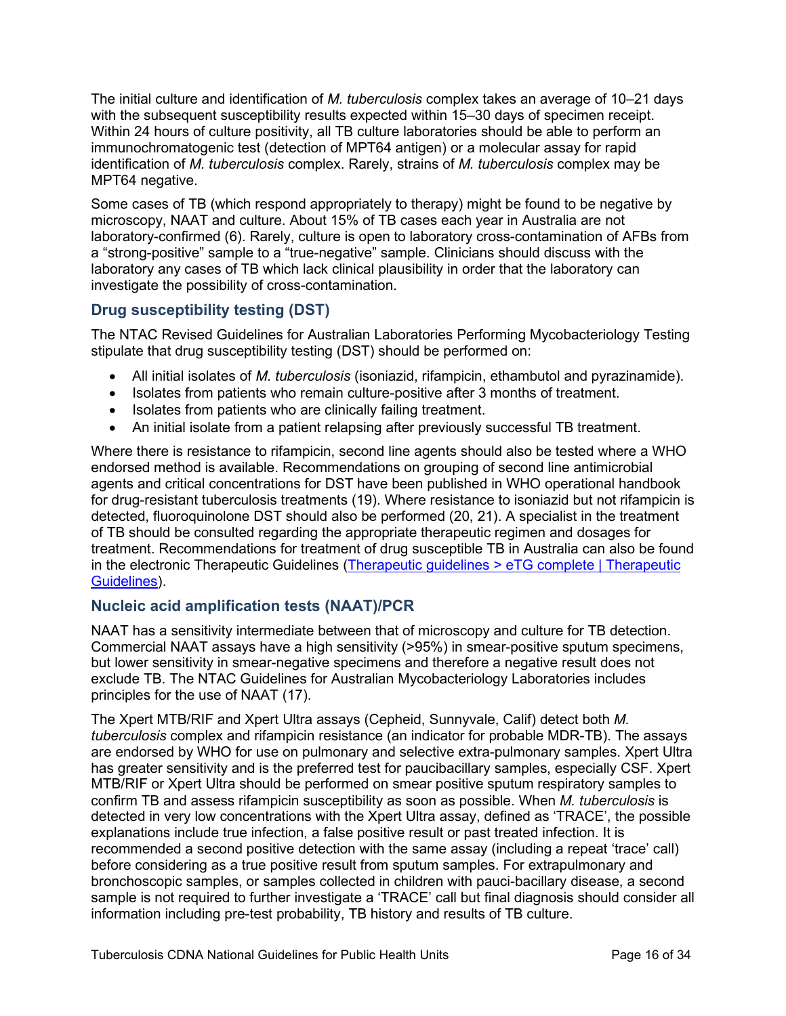The initial culture and identification of *M. tuberculosis* complex takes an average of 10–21 days with the subsequent susceptibility results expected within 15–30 days of specimen receipt. Within 24 hours of culture positivity, all TB culture laboratories should be able to perform an immunochromatogenic test (detection of MPT64 antigen) or a molecular assay for rapid identification of *M. tuberculosis* complex. Rarely, strains of *M. tuberculosis* complex may be MPT64 negative.

Some cases of TB (which respond appropriately to therapy) might be found to be negative by microscopy, NAAT and culture. About 15% of TB cases each year in Australia are not laboratory-confirmed (6). Rarely, culture is open to laboratory cross-contamination of AFBs from a "strong-positive" sample to a "true-negative" sample. Clinicians should discuss with the laboratory any cases of TB which lack clinical plausibility in order that the laboratory can investigate the possibility of cross-contamination.

# <span id="page-15-0"></span>**Drug susceptibility testing (DST)**

The NTAC Revised Guidelines for Australian Laboratories Performing Mycobacteriology Testing stipulate that drug susceptibility testing (DST) should be performed on:

- All initial isolates of *M. tuberculosis* (isoniazid, rifampicin, ethambutol and pyrazinamide).
- Isolates from patients who remain culture-positive after 3 months of treatment.
- Isolates from patients who are clinically failing treatment.
- An initial isolate from a patient relapsing after previously successful TB treatment.

Where there is resistance to rifampicin, second line agents should also be tested where a WHO endorsed method is available. Recommendations on grouping of second line antimicrobial agents and critical concentrations for DST have been published in WHO operational handbook for drug-resistant tuberculosis treatments (19). Where resistance to isoniazid but not rifampicin is detected, fluoroquinolone DST should also be performed (20, 21). A specialist in the treatment of TB should be consulted regarding the appropriate therapeutic regimen and dosages for treatment. Recommendations for treatment of drug susceptible TB in Australia can also be found in the electronic Therapeutic Guidelines [\(Therapeutic guidelines > eTG complete | Therapeutic](https://tgldcdp.tg.org.au/etgAccessDenied?access=denied#toc_d1e2156)  [Guidelines\)](https://tgldcdp.tg.org.au/etgAccessDenied?access=denied#toc_d1e2156).

# <span id="page-15-1"></span>**Nucleic acid amplification tests (NAAT)/PCR**

NAAT has a sensitivity intermediate between that of microscopy and culture for TB detection. Commercial NAAT assays have a high sensitivity (>95%) in smear-positive sputum specimens, but lower sensitivity in smear-negative specimens and therefore a negative result does not exclude TB. The NTAC Guidelines for Australian Mycobacteriology Laboratories includes principles for the use of NAAT (17).

The Xpert MTB/RIF and Xpert Ultra assays (Cepheid, Sunnyvale, Calif) detect both *M. tuberculosis* complex and rifampicin resistance (an indicator for probable MDR-TB). The assays are endorsed by WHO for use on pulmonary and selective extra-pulmonary samples. Xpert Ultra has greater sensitivity and is the preferred test for paucibacillary samples, especially CSF. Xpert MTB/RIF or Xpert Ultra should be performed on smear positive sputum respiratory samples to confirm TB and assess rifampicin susceptibility as soon as possible. When *M. tuberculosis* is detected in very low concentrations with the Xpert Ultra assay, defined as 'TRACE', the possible explanations include true infection, a false positive result or past treated infection. It is recommended a second positive detection with the same assay (including a repeat 'trace' call) before considering as a true positive result from sputum samples. For extrapulmonary and bronchoscopic samples, or samples collected in children with pauci-bacillary disease, a second sample is not required to further investigate a 'TRACE' call but final diagnosis should consider all information including pre-test probability, TB history and results of TB culture.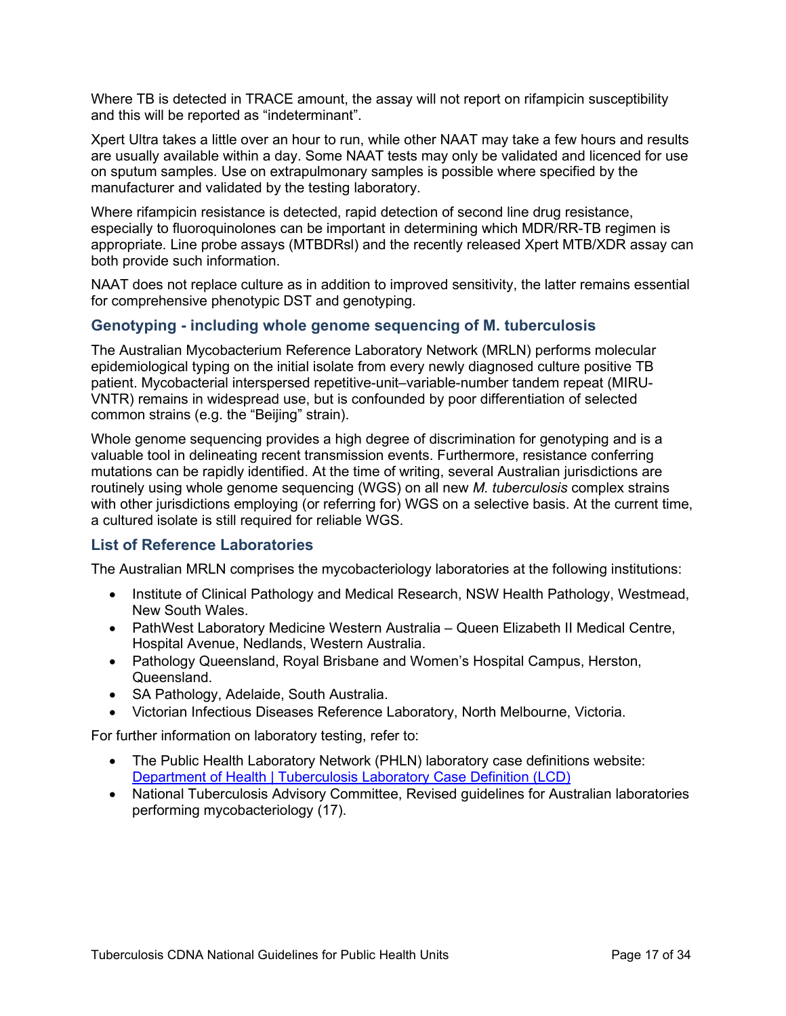Where TB is detected in TRACE amount, the assay will not report on rifampicin susceptibility and this will be reported as "indeterminant".

Xpert Ultra takes a little over an hour to run, while other NAAT may take a few hours and results are usually available within a day. Some NAAT tests may only be validated and licenced for use on sputum samples. Use on extrapulmonary samples is possible where specified by the manufacturer and validated by the testing laboratory.

Where rifampicin resistance is detected, rapid detection of second line drug resistance, especially to fluoroquinolones can be important in determining which MDR/RR-TB regimen is appropriate. Line probe assays (MTBDRsl) and the recently released Xpert MTB/XDR assay can both provide such information.

NAAT does not replace culture as in addition to improved sensitivity, the latter remains essential for comprehensive phenotypic DST and genotyping.

#### <span id="page-16-0"></span>**Genotyping - including whole genome sequencing of M. tuberculosis**

The Australian Mycobacterium Reference Laboratory Network (MRLN) performs molecular epidemiological typing on the initial isolate from every newly diagnosed culture positive TB patient. Mycobacterial interspersed repetitive-unit–variable-number tandem repeat (MIRU-VNTR) remains in widespread use, but is confounded by poor differentiation of selected common strains (e.g. the "Beijing" strain).

Whole genome sequencing provides a high degree of discrimination for genotyping and is a valuable tool in delineating recent transmission events. Furthermore, resistance conferring mutations can be rapidly identified. At the time of writing, several Australian jurisdictions are routinely using whole genome sequencing (WGS) on all new *M. tuberculosis* complex strains with other jurisdictions employing (or referring for) WGS on a selective basis. At the current time, a cultured isolate is still required for reliable WGS.

#### <span id="page-16-1"></span>**List of Reference Laboratories**

The Australian MRLN comprises the mycobacteriology laboratories at the following institutions:

- Institute of Clinical Pathology and Medical Research, NSW Health Pathology, Westmead, New South Wales.
- PathWest Laboratory Medicine Western Australia Queen Elizabeth II Medical Centre, Hospital Avenue, Nedlands, Western Australia.
- Pathology Queensland, Royal Brisbane and Women's Hospital Campus, Herston, Queensland.
- SA Pathology, Adelaide, South Australia.
- Victorian Infectious Diseases Reference Laboratory, North Melbourne, Victoria.

For further information on laboratory testing, refer to:

- The Public Health Laboratory Network (PHLN) laboratory case definitions website: [Department of Health | Tuberculosis Laboratory Case Definition \(LCD\)](https://www1.health.gov.au/internet/main/publishing.nsf/Content/cda-phlncd-tb.htm)
- National Tuberculosis Advisory Committee, Revised guidelines for Australian laboratories performing mycobacteriology (17).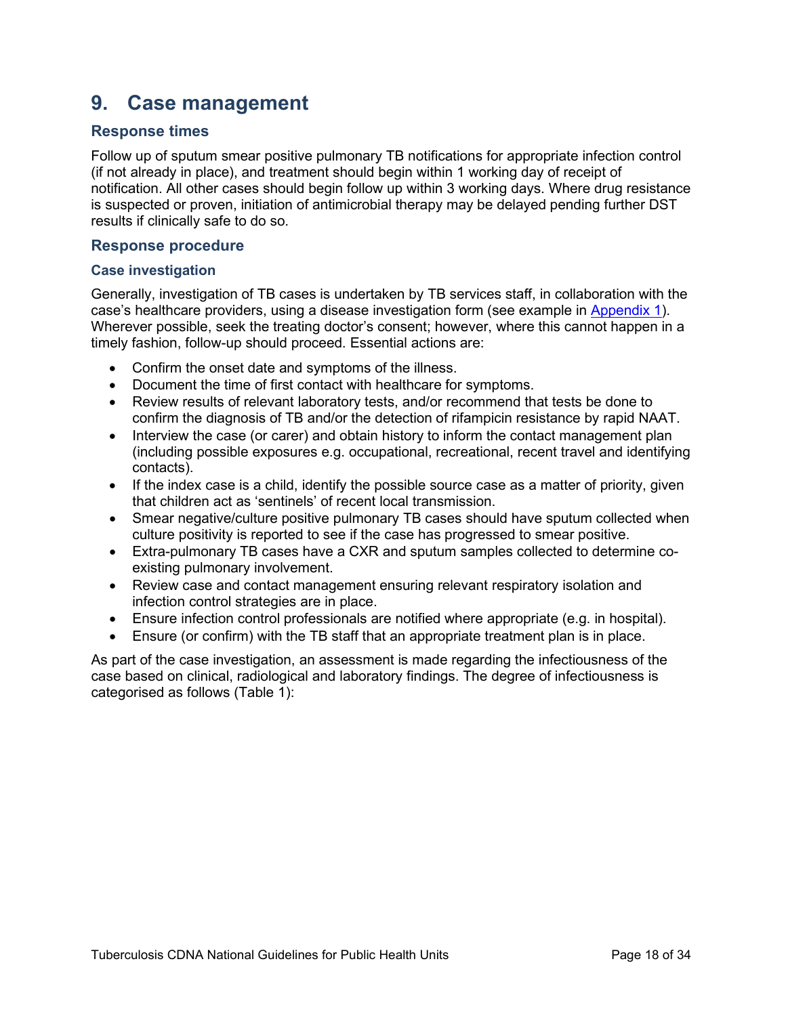# <span id="page-17-0"></span>**9. Case management**

### <span id="page-17-1"></span>**Response times**

Follow up of sputum smear positive pulmonary TB notifications for appropriate infection control (if not already in place), and treatment should begin within 1 working day of receipt of notification. All other cases should begin follow up within 3 working days. Where drug resistance is suspected or proven, initiation of antimicrobial therapy may be delayed pending further DST results if clinically safe to do so.

#### <span id="page-17-2"></span>**Response procedure**

#### **Case investigation**

Generally, investigation of TB cases is undertaken by TB services staff, in collaboration with the case's healthcare providers, using a disease investigation form (see example in [Appendix 1\)](#page-31-0). Wherever possible, seek the treating doctor's consent; however, where this cannot happen in a timely fashion, follow-up should proceed. Essential actions are:

- Confirm the onset date and symptoms of the illness.
- Document the time of first contact with healthcare for symptoms.
- Review results of relevant laboratory tests, and/or recommend that tests be done to confirm the diagnosis of TB and/or the detection of rifampicin resistance by rapid NAAT.
- Interview the case (or carer) and obtain history to inform the contact management plan (including possible exposures e.g. occupational, recreational, recent travel and identifying contacts).
- If the index case is a child, identify the possible source case as a matter of priority, given that children act as 'sentinels' of recent local transmission.
- Smear negative/culture positive pulmonary TB cases should have sputum collected when culture positivity is reported to see if the case has progressed to smear positive.
- Extra-pulmonary TB cases have a CXR and sputum samples collected to determine coexisting pulmonary involvement.
- Review case and contact management ensuring relevant respiratory isolation and infection control strategies are in place.
- Ensure infection control professionals are notified where appropriate (e.g. in hospital).
- Ensure (or confirm) with the TB staff that an appropriate treatment plan is in place.

As part of the case investigation, an assessment is made regarding the infectiousness of the case based on clinical, radiological and laboratory findings. The degree of infectiousness is categorised as follows (Table 1):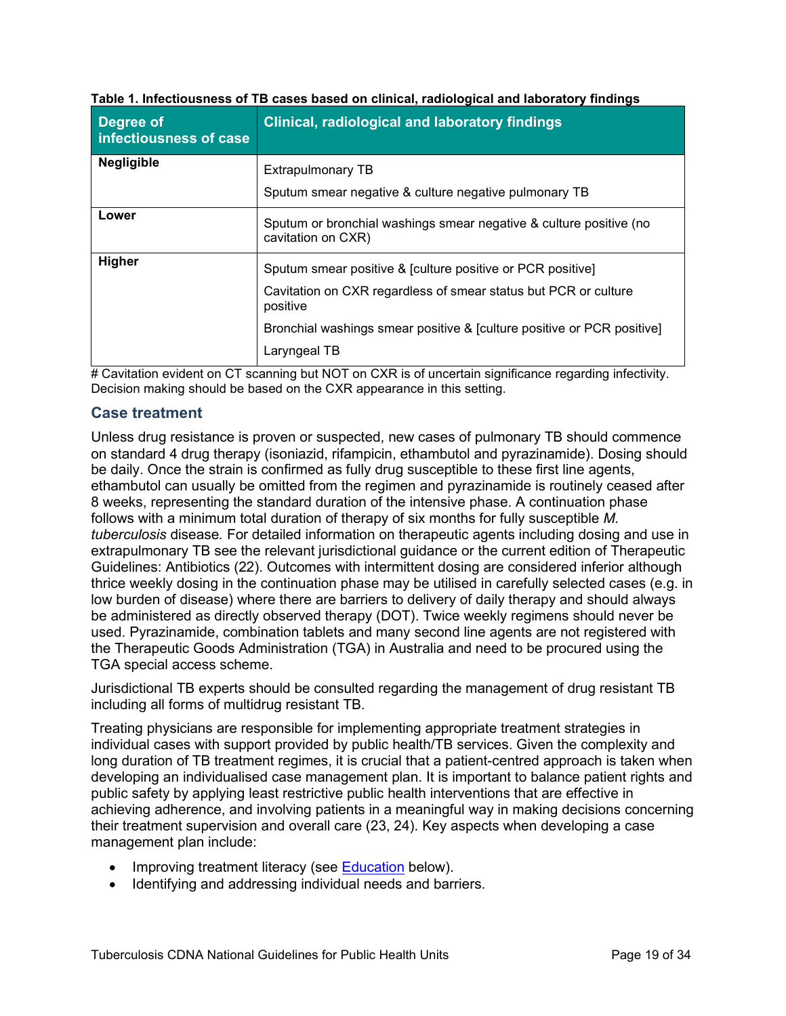| Degree of<br>infectiousness of case | <b>Clinical, radiological and laboratory findings</b>                                    |
|-------------------------------------|------------------------------------------------------------------------------------------|
| <b>Negligible</b>                   | Extrapulmonary TB                                                                        |
|                                     | Sputum smear negative & culture negative pulmonary TB                                    |
| Lower                               | Sputum or bronchial washings smear negative & culture positive (no<br>cavitation on CXR) |
| Higher                              | Sputum smear positive & [culture positive or PCR positive]                               |
|                                     | Cavitation on CXR regardless of smear status but PCR or culture<br>positive              |
|                                     | Bronchial washings smear positive & [culture positive or PCR positive]                   |
|                                     | Laryngeal TB                                                                             |

#### **Table 1. Infectiousness of TB cases based on clinical, radiological and laboratory findings**

 $#$  Cavitation evident on CT scanning but NOT on CXR is of uncertain significance regarding infectivity. Decision making should be based on the CXR appearance in this setting.

#### <span id="page-18-0"></span>**Case treatment**

Unless drug resistance is proven or suspected, new cases of pulmonary TB should commence on standard 4 drug therapy (isoniazid, rifampicin, ethambutol and pyrazinamide). Dosing should be daily. Once the strain is confirmed as fully drug susceptible to these first line agents, ethambutol can usually be omitted from the regimen and pyrazinamide is routinely ceased after 8 weeks, representing the standard duration of the intensive phase. A continuation phase follows with a minimum total duration of therapy of six months for fully susceptible *M. tuberculosis* disease*.* For detailed information on therapeutic agents including dosing and use in extrapulmonary TB see the relevant jurisdictional guidance or the current edition of Therapeutic Guidelines: Antibiotics (22). Outcomes with intermittent dosing are considered inferior although thrice weekly dosing in the continuation phase may be utilised in carefully selected cases (e.g. in low burden of disease) where there are barriers to delivery of daily therapy and should always be administered as directly observed therapy (DOT). Twice weekly regimens should never be used. Pyrazinamide, combination tablets and many second line agents are not registered with the Therapeutic Goods Administration (TGA) in Australia and need to be procured using the TGA special access scheme.

Jurisdictional TB experts should be consulted regarding the management of drug resistant TB including all forms of multidrug resistant TB.

Treating physicians are responsible for implementing appropriate treatment strategies in individual cases with support provided by public health/TB services. Given the complexity and long duration of TB treatment regimes, it is crucial that a patient-centred approach is taken when developing an individualised case management plan. It is important to balance patient rights and public safety by applying least restrictive public health interventions that are effective in achieving adherence, and involving patients in a meaningful way in making decisions concerning their treatment supervision and overall care (23, 24). Key aspects when developing a case management plan include:

- Improving treatment literacy (see [Education](#page-19-0) below).
- Identifying and addressing individual needs and barriers.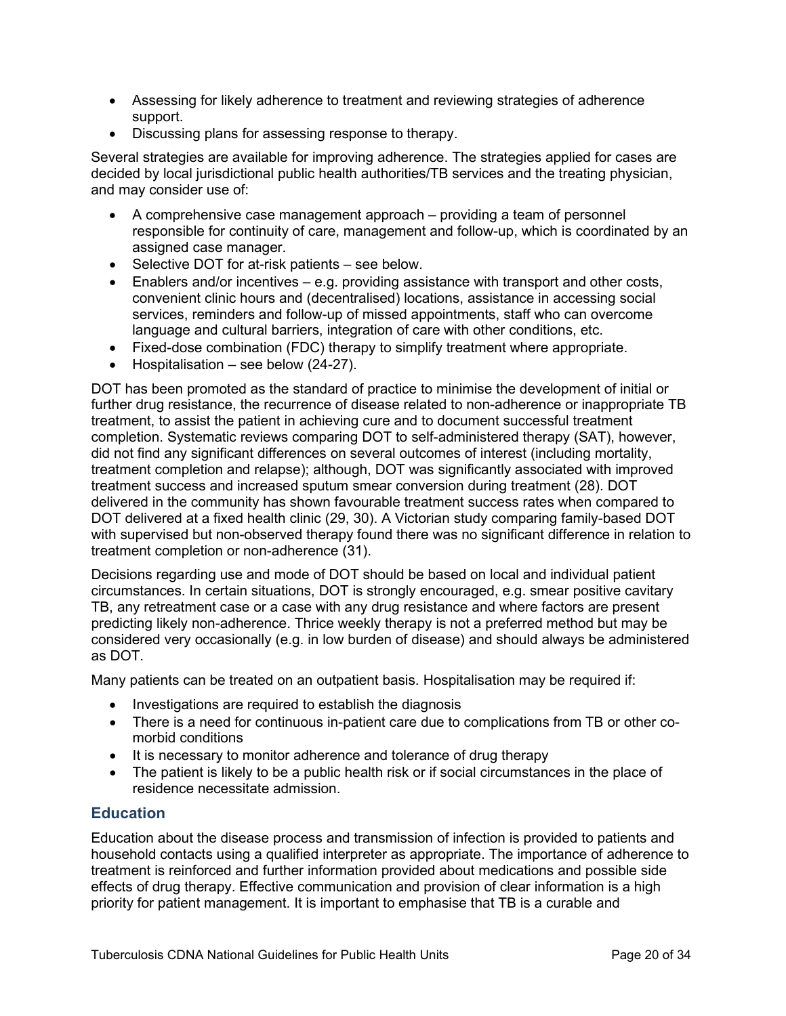- Assessing for likely adherence to treatment and reviewing strategies of adherence support.
- Discussing plans for assessing response to therapy.

Several strategies are available for improving adherence. The strategies applied for cases are decided by local jurisdictional public health authorities/TB services and the treating physician, and may consider use of:

- A comprehensive case management approach providing a team of personnel responsible for continuity of care, management and follow-up, which is coordinated by an assigned case manager.
- Selective DOT for at-risk patients see below.
- Enablers and/or incentives e.g. providing assistance with transport and other costs, convenient clinic hours and (decentralised) locations, assistance in accessing social services, reminders and follow-up of missed appointments, staff who can overcome language and cultural barriers, integration of care with other conditions, etc.
- Fixed-dose combination (FDC) therapy to simplify treatment where appropriate.
- Hospitalisation see below (24-27).

DOT has been promoted as the standard of practice to minimise the development of initial or further drug resistance, the recurrence of disease related to non-adherence or inappropriate TB treatment, to assist the patient in achieving cure and to document successful treatment completion. Systematic reviews comparing DOT to self-administered therapy (SAT), however, did not find any significant differences on several outcomes of interest (including mortality, treatment completion and relapse); although, DOT was significantly associated with improved treatment success and increased sputum smear conversion during treatment (28). DOT delivered in the community has shown favourable treatment success rates when compared to DOT delivered at a fixed health clinic (29, 30). A Victorian study comparing family-based DOT with supervised but non-observed therapy found there was no significant difference in relation to treatment completion or non-adherence (31).

Decisions regarding use and mode of DOT should be based on local and individual patient circumstances. In certain situations, DOT is strongly encouraged, e.g. smear positive cavitary TB, any retreatment case or a case with any drug resistance and where factors are present predicting likely non-adherence. Thrice weekly therapy is not a preferred method but may be considered very occasionally (e.g. in low burden of disease) and should always be administered as DOT.

Many patients can be treated on an outpatient basis. Hospitalisation may be required if:

- Investigations are required to establish the diagnosis
- There is a need for continuous in-patient care due to complications from TB or other comorbid conditions
- It is necessary to monitor adherence and tolerance of drug therapy
- The patient is likely to be a public health risk or if social circumstances in the place of residence necessitate admission.

# <span id="page-19-0"></span>**Education**

Education about the disease process and transmission of infection is provided to patients and household contacts using a qualified interpreter as appropriate. The importance of adherence to treatment is reinforced and further information provided about medications and possible side effects of drug therapy. Effective communication and provision of clear information is a high priority for patient management. It is important to emphasise that TB is a curable and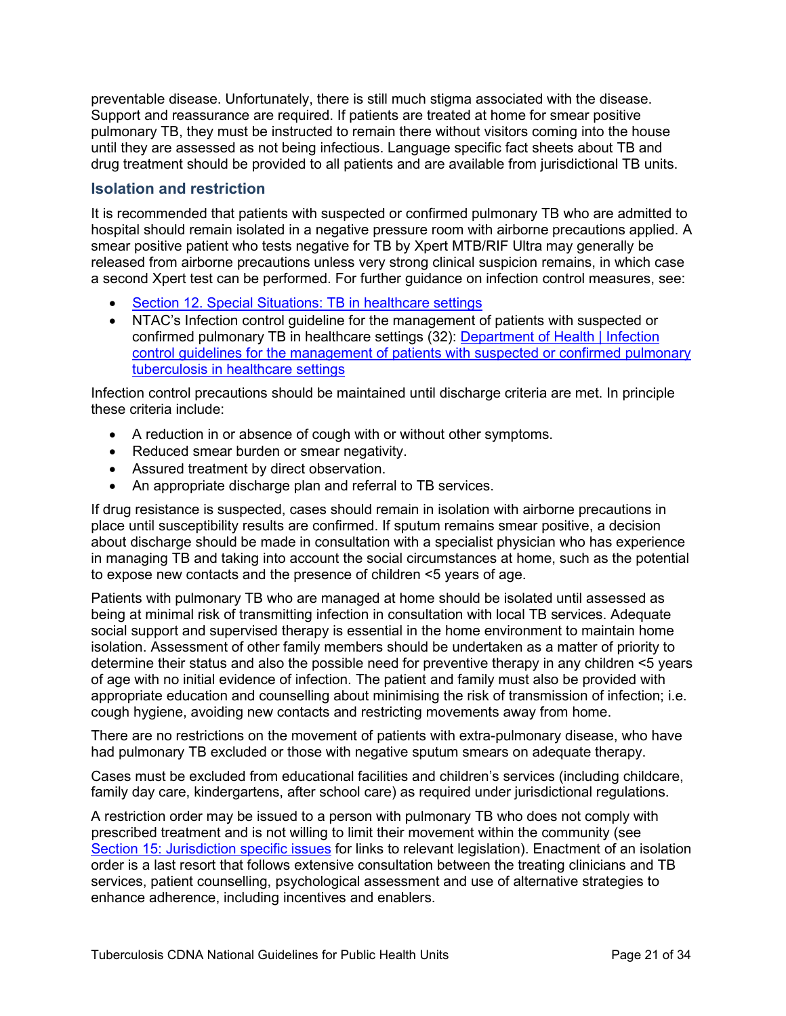preventable disease. Unfortunately, there is still much stigma associated with the disease. Support and reassurance are required. If patients are treated at home for smear positive pulmonary TB, they must be instructed to remain there without visitors coming into the house until they are assessed as not being infectious. Language specific fact sheets about TB and drug treatment should be provided to all patients and are available from jurisdictional TB units.

### <span id="page-20-0"></span>**Isolation and restriction**

It is recommended that patients with suspected or confirmed pulmonary TB who are admitted to hospital should remain isolated in a negative pressure room with airborne precautions applied. A smear positive patient who tests negative for TB by Xpert MTB/RIF Ultra may generally be released from airborne precautions unless very strong clinical suspicion remains, in which case a second Xpert test can be performed. For further guidance on infection control measures, see:

- [Section 12. Special Situations: TB in healthcare settings](#page-25-2)
- NTAC's Infection control guideline for the management of patients with suspected or confirmed pulmonary TB in healthcare settings (32): Department of Health | Infection [control guidelines for the management of patients with suspected or confirmed pulmonary](https://www1.health.gov.au/internet/main/publishing.nsf/Content/cda-cdi4003i.htm)  [tuberculosis in healthcare settings](https://www1.health.gov.au/internet/main/publishing.nsf/Content/cda-cdi4003i.htm)

Infection control precautions should be maintained until discharge criteria are met. In principle these criteria include:

- A reduction in or absence of cough with or without other symptoms.
- Reduced smear burden or smear negativity.
- Assured treatment by direct observation.
- An appropriate discharge plan and referral to TB services.

If drug resistance is suspected, cases should remain in isolation with airborne precautions in place until susceptibility results are confirmed. If sputum remains smear positive, a decision about discharge should be made in consultation with a specialist physician who has experience in managing TB and taking into account the social circumstances at home, such as the potential to expose new contacts and the presence of children <5 years of age.

Patients with pulmonary TB who are managed at home should be isolated until assessed as being at minimal risk of transmitting infection in consultation with local TB services. Adequate social support and supervised therapy is essential in the home environment to maintain home isolation. Assessment of other family members should be undertaken as a matter of priority to determine their status and also the possible need for preventive therapy in any children <5 years of age with no initial evidence of infection. The patient and family must also be provided with appropriate education and counselling about minimising the risk of transmission of infection; i.e. cough hygiene, avoiding new contacts and restricting movements away from home.

There are no restrictions on the movement of patients with extra-pulmonary disease, who have had pulmonary TB excluded or those with negative sputum smears on adequate therapy.

Cases must be excluded from educational facilities and children's services (including childcare, family day care, kindergartens, after school care) as required under jurisdictional regulations.

A restriction order may be issued to a person with pulmonary TB who does not comply with prescribed treatment and is not willing to limit their movement within the community (see Section [15: Jurisdiction specific issues](#page-31-1) for links to relevant legislation). Enactment of an isolation order is a last resort that follows extensive consultation between the treating clinicians and TB services, patient counselling, psychological assessment and use of alternative strategies to enhance adherence, including incentives and enablers.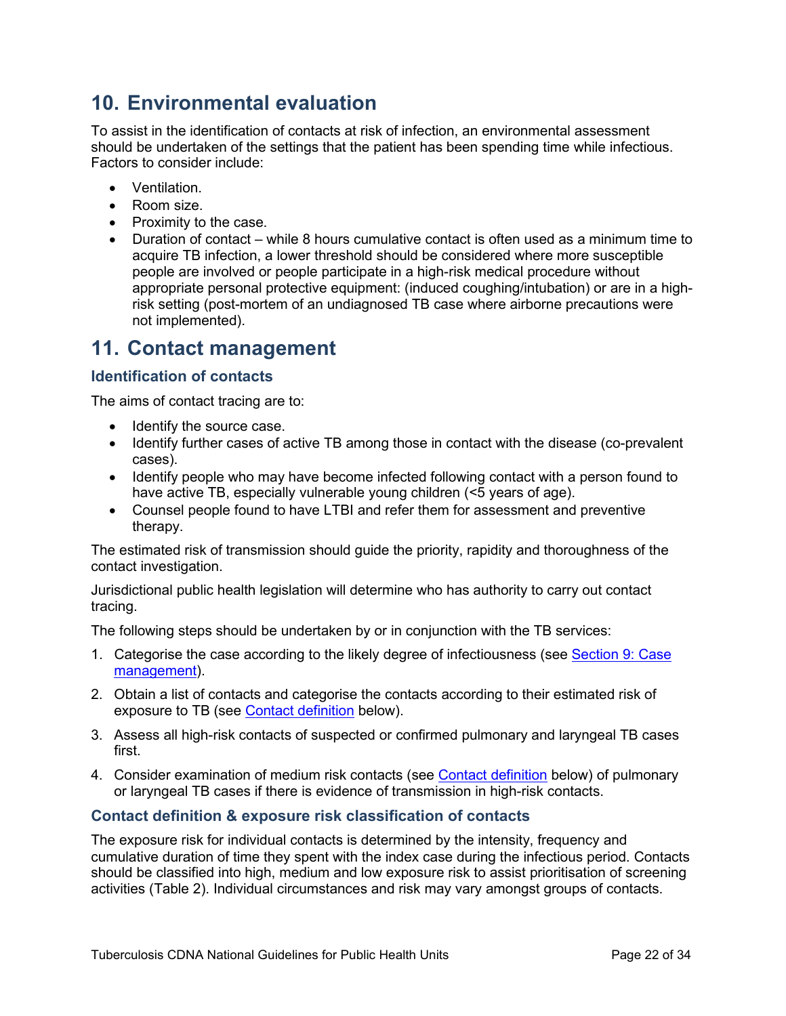# <span id="page-21-0"></span>**10. Environmental evaluation**

To assist in the identification of contacts at risk of infection, an environmental assessment should be undertaken of the settings that the patient has been spending time while infectious. Factors to consider include:

- Ventilation.
- Room size.
- Proximity to the case.
- Duration of contact while 8 hours cumulative contact is often used as a minimum time to acquire TB infection, a lower threshold should be considered where more susceptible people are involved or people participate in a high-risk medical procedure without appropriate personal protective equipment: (induced coughing/intubation) or are in a highrisk setting (post-mortem of an undiagnosed TB case where airborne precautions were not implemented).

# <span id="page-21-1"></span>**11. Contact management**

# <span id="page-21-2"></span>**Identification of contacts**

The aims of contact tracing are to:

- Identify the source case.
- Identify further cases of active TB among those in contact with the disease (co-prevalent cases).
- Identify people who may have become infected following contact with a person found to have active TB, especially vulnerable young children (<5 years of age).
- Counsel people found to have LTBI and refer them for assessment and preventive therapy.

The estimated risk of transmission should guide the priority, rapidity and thoroughness of the contact investigation.

Jurisdictional public health legislation will determine who has authority to carry out contact tracing.

The following steps should be undertaken by or in conjunction with the TB services:

- 1. Categorise the case according to the likely degree of infectiousness (see [Section 9:](#page-17-0) Case [management\)](#page-17-0).
- 2. Obtain a list of contacts and categorise the contacts according to their estimated risk of exposure to TB (see [Contact definition](#page-21-3) below).
- 3. Assess all high-risk contacts of suspected or confirmed pulmonary and laryngeal TB cases first.
- 4. Consider examination of medium risk contacts (see [Contact definition](#page-21-3) below) of pulmonary or laryngeal TB cases if there is evidence of transmission in high-risk contacts.

# <span id="page-21-3"></span>**Contact definition & exposure risk classification of contacts**

The exposure risk for individual contacts is determined by the intensity, frequency and cumulative duration of time they spent with the index case during the infectious period. Contacts should be classified into high, medium and low exposure risk to assist prioritisation of screening activities (Table 2). Individual circumstances and risk may vary amongst groups of contacts.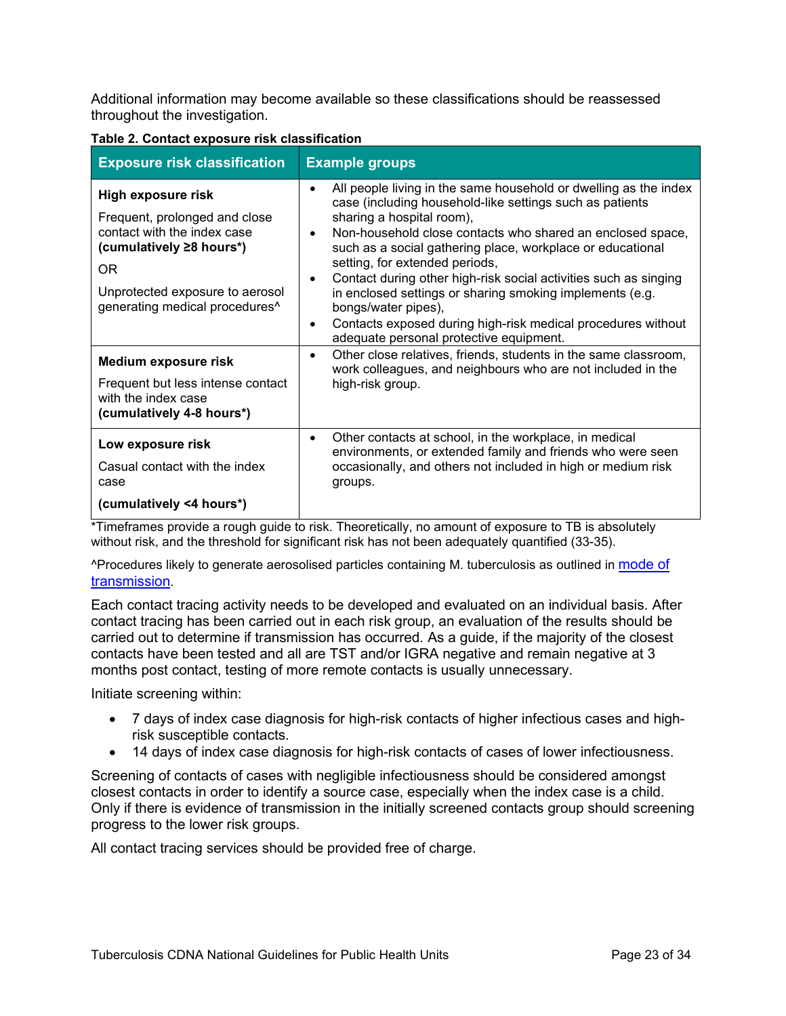Additional information may become available so these classifications should be reassessed throughout the investigation.

| <b>Exposure risk classification</b>                                                                                                                                                                    | <b>Example groups</b>                                                                                                                                                                                                                                                                                                                                                                                                                                                                                                                                                                                                                 |  |
|--------------------------------------------------------------------------------------------------------------------------------------------------------------------------------------------------------|---------------------------------------------------------------------------------------------------------------------------------------------------------------------------------------------------------------------------------------------------------------------------------------------------------------------------------------------------------------------------------------------------------------------------------------------------------------------------------------------------------------------------------------------------------------------------------------------------------------------------------------|--|
| High exposure risk<br>Frequent, prolonged and close<br>contact with the index case<br>(cumulatively ≥8 hours*)<br>OR.<br>Unprotected exposure to aerosol<br>generating medical procedures <sup>^</sup> | All people living in the same household or dwelling as the index<br>$\bullet$<br>case (including household-like settings such as patients<br>sharing a hospital room),<br>Non-household close contacts who shared an enclosed space,<br>$\bullet$<br>such as a social gathering place, workplace or educational<br>setting, for extended periods,<br>Contact during other high-risk social activities such as singing<br>٠<br>in enclosed settings or sharing smoking implements (e.g.<br>bongs/water pipes),<br>Contacts exposed during high-risk medical procedures without<br>$\bullet$<br>adequate personal protective equipment. |  |
| <b>Medium exposure risk</b><br>Frequent but less intense contact<br>with the index case<br>(cumulatively 4-8 hours*)                                                                                   | Other close relatives, friends, students in the same classroom,<br>$\bullet$<br>work colleagues, and neighbours who are not included in the<br>high-risk group.                                                                                                                                                                                                                                                                                                                                                                                                                                                                       |  |
| Low exposure risk<br>Casual contact with the index<br>case<br>(cumulatively <4 hours*)                                                                                                                 | Other contacts at school, in the workplace, in medical<br>$\bullet$<br>environments, or extended family and friends who were seen<br>occasionally, and others not included in high or medium risk<br>groups.                                                                                                                                                                                                                                                                                                                                                                                                                          |  |

#### **Table 2. Contact exposure risk classification**

\*Timeframes provide a rough guide to risk. Theoretically, no amount of exposure to TB is absolutely without risk, and the threshold for significant risk has not been adequately quantified (33-35).

^Procedures likely to generate aerosolised particles containing M. tuberculosis as outlined in [mode of](#page-6-3)  [transmission.](#page-6-3)

Each contact tracing activity needs to be developed and evaluated on an individual basis. After contact tracing has been carried out in each risk group, an evaluation of the results should be carried out to determine if transmission has occurred. As a guide, if the majority of the closest contacts have been tested and all are TST and/or IGRA negative and remain negative at 3 months post contact, testing of more remote contacts is usually unnecessary.

Initiate screening within:

- 7 days of index case diagnosis for high-risk contacts of higher infectious cases and highrisk susceptible contacts.
- 14 days of index case diagnosis for high-risk contacts of cases of lower infectiousness.

Screening of contacts of cases with negligible infectiousness should be considered amongst closest contacts in order to identify a source case, especially when the index case is a child. Only if there is evidence of transmission in the initially screened contacts group should screening progress to the lower risk groups.

All contact tracing services should be provided free of charge.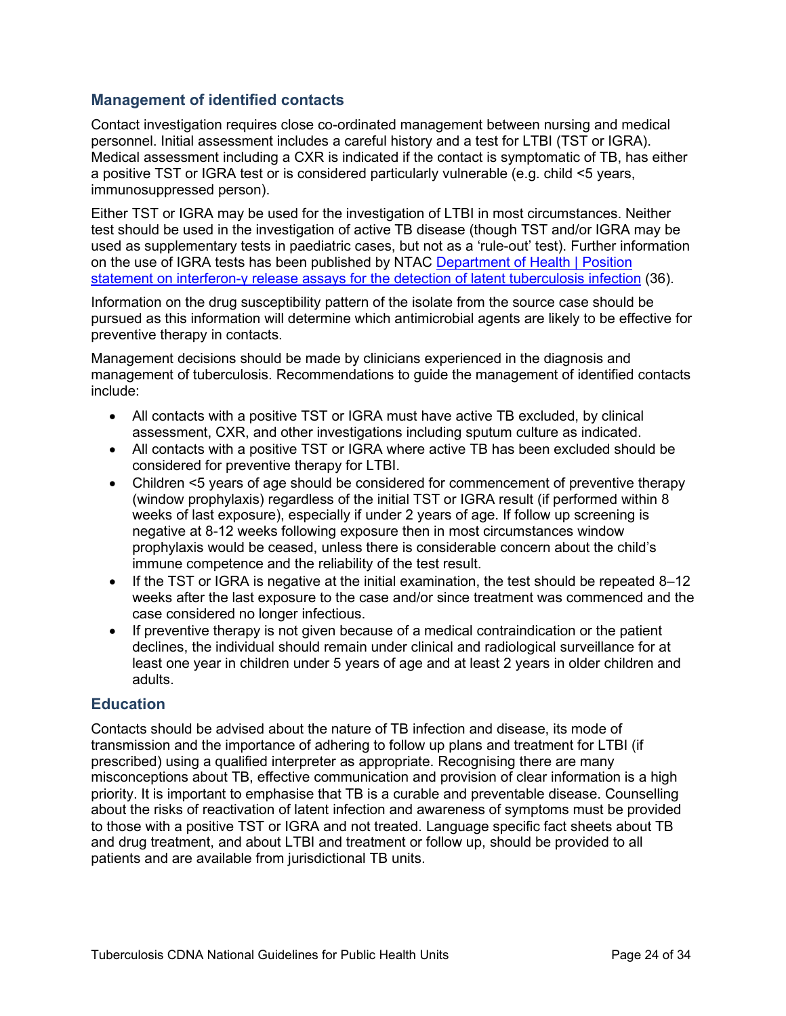# <span id="page-23-0"></span>**Management of identified contacts**

Contact investigation requires close co-ordinated management between nursing and medical personnel. Initial assessment includes a careful history and a test for LTBI (TST or IGRA). Medical assessment including a CXR is indicated if the contact is symptomatic of TB, has either a positive TST or IGRA test or is considered particularly vulnerable (e.g. child <5 years, immunosuppressed person).

Either TST or IGRA may be used for the investigation of LTBI in most circumstances. Neither test should be used in the investigation of active TB disease (though TST and/or IGRA may be used as supplementary tests in paediatric cases, but not as a 'rule-out' test). Further information on the use of IGRA tests has been published by NTAC [Department of Health | Position](https://www1.health.gov.au/internet/main/publishing.nsf/Content/cdi4104-c)  statement on interferon-[γ release assays for the detection of latent tuberculosis](https://www1.health.gov.au/internet/main/publishing.nsf/Content/cdi4104-c) infection (36).

Information on the drug susceptibility pattern of the isolate from the source case should be pursued as this information will determine which antimicrobial agents are likely to be effective for preventive therapy in contacts.

Management decisions should be made by clinicians experienced in the diagnosis and management of tuberculosis. Recommendations to guide the management of identified contacts include:

- All contacts with a positive TST or IGRA must have active TB excluded, by clinical assessment, CXR, and other investigations including sputum culture as indicated.
- All contacts with a positive TST or IGRA where active TB has been excluded should be considered for preventive therapy for LTBI.
- Children <5 years of age should be considered for commencement of preventive therapy (window prophylaxis) regardless of the initial TST or IGRA result (if performed within 8 weeks of last exposure), especially if under 2 years of age. If follow up screening is negative at 8-12 weeks following exposure then in most circumstances window prophylaxis would be ceased, unless there is considerable concern about the child's immune competence and the reliability of the test result.
- If the TST or IGRA is negative at the initial examination, the test should be repeated 8–12 weeks after the last exposure to the case and/or since treatment was commenced and the case considered no longer infectious.
- If preventive therapy is not given because of a medical contraindication or the patient declines, the individual should remain under clinical and radiological surveillance for at least one year in children under 5 years of age and at least 2 years in older children and adults.

# <span id="page-23-1"></span>**Education**

Contacts should be advised about the nature of TB infection and disease, its mode of transmission and the importance of adhering to follow up plans and treatment for LTBI (if prescribed) using a qualified interpreter as appropriate. Recognising there are many misconceptions about TB, effective communication and provision of clear information is a high priority. It is important to emphasise that TB is a curable and preventable disease. Counselling about the risks of reactivation of latent infection and awareness of symptoms must be provided to those with a positive TST or IGRA and not treated. Language specific fact sheets about TB and drug treatment, and about LTBI and treatment or follow up, should be provided to all patients and are available from jurisdictional TB units.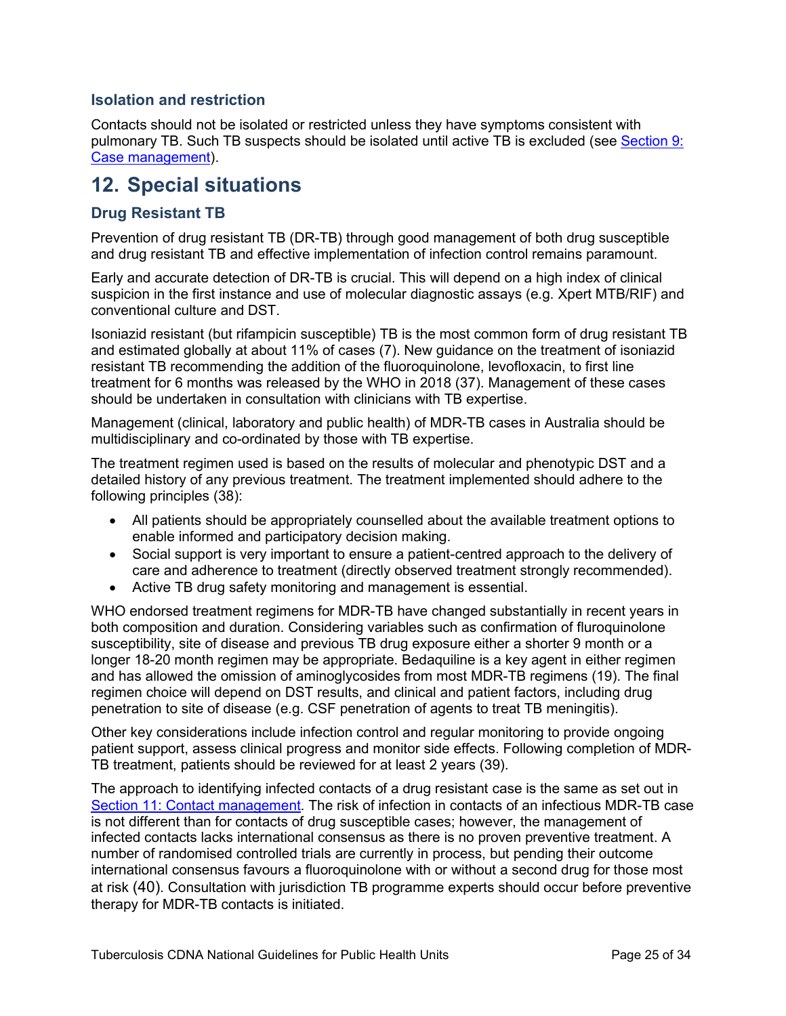# <span id="page-24-0"></span>**Isolation and restriction**

Contacts should not be isolated or restricted unless they have symptoms consistent with pulmonary TB. Such TB suspects should be isolated until active TB is excluded (see [Section 9:](#page-17-0) [Case management\)](#page-17-0).

# <span id="page-24-1"></span>**12. Special situations**

### <span id="page-24-2"></span>**Drug Resistant TB**

Prevention of drug resistant TB (DR-TB) through good management of both drug susceptible and drug resistant TB and effective implementation of infection control remains paramount.

Early and accurate detection of DR-TB is crucial. This will depend on a high index of clinical suspicion in the first instance and use of molecular diagnostic assays (e.g. Xpert MTB/RIF) and conventional culture and DST.

Isoniazid resistant (but rifampicin susceptible) TB is the most common form of drug resistant TB and estimated globally at about 11% of cases (7). New guidance on the treatment of isoniazid resistant TB recommending the addition of the fluoroquinolone, levofloxacin, to first line treatment for 6 months was released by the WHO in 2018 (37). Management of these cases should be undertaken in consultation with clinicians with TB expertise.

Management (clinical, laboratory and public health) of MDR-TB cases in Australia should be multidisciplinary and co-ordinated by those with TB expertise.

The treatment regimen used is based on the results of molecular and phenotypic DST and a detailed history of any previous treatment. The treatment implemented should adhere to the following principles (38):

- All patients should be appropriately counselled about the available treatment options to enable informed and participatory decision making.
- Social support is very important to ensure a patient-centred approach to the delivery of care and adherence to treatment (directly observed treatment strongly recommended).
- Active TB drug safety monitoring and management is essential.

WHO endorsed treatment regimens for MDR-TB have changed substantially in recent years in both composition and duration. Considering variables such as confirmation of fluroquinolone susceptibility, site of disease and previous TB drug exposure either a shorter 9 month or a longer 18-20 month regimen may be appropriate. Bedaquiline is a key agent in either regimen and has allowed the omission of aminoglycosides from most MDR-TB regimens (19). The final regimen choice will depend on DST results, and clinical and patient factors, including drug penetration to site of disease (e.g. CSF penetration of agents to treat TB meningitis).

Other key considerations include infection control and regular monitoring to provide ongoing patient support, assess clinical progress and monitor side effects. Following completion of MDR-TB treatment, patients should be reviewed for at least 2 years (39).

The approach to identifying infected contacts of a drug resistant case is the same as set out in Section 11: [Contact management.](#page-21-1) The risk of infection in contacts of an infectious MDR-TB case is not different than for contacts of drug susceptible cases; however, the management of infected contacts lacks international consensus as there is no proven preventive treatment. A number of randomised controlled trials are currently in process, but pending their outcome international consensus favours a fluoroquinolone with or without a second drug for those most at risk (40). Consultation with jurisdiction TB programme experts should occur before preventive therapy for MDR-TB contacts is initiated.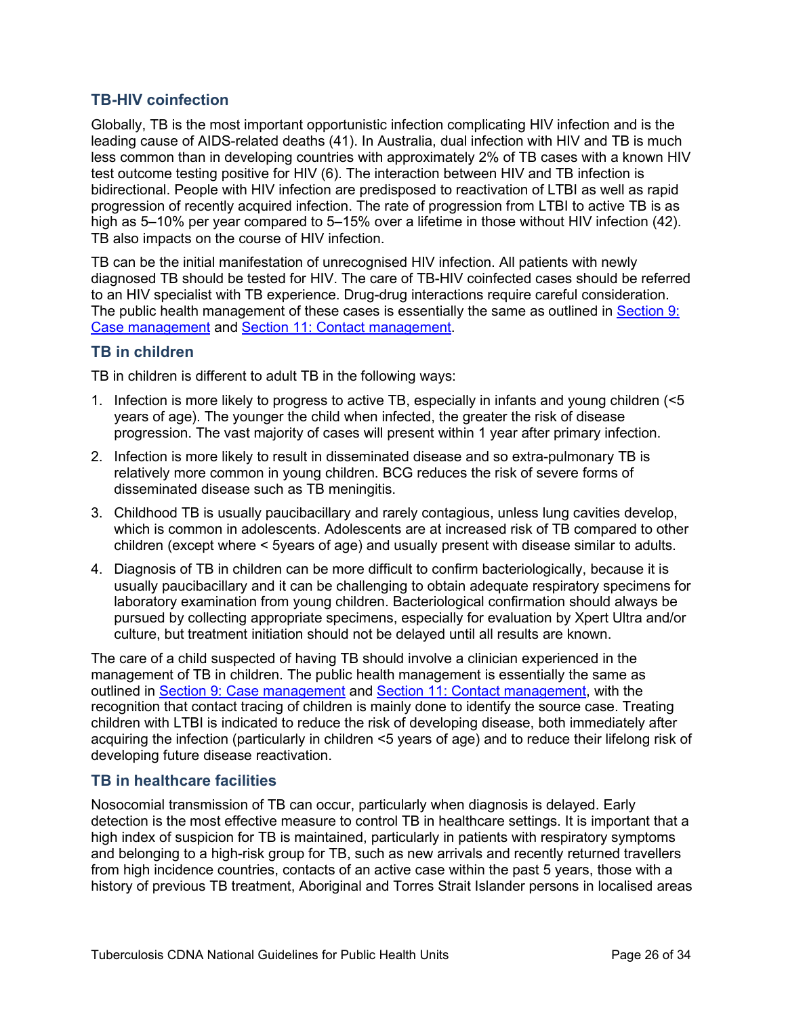# <span id="page-25-0"></span>**TB-HIV coinfection**

Globally, TB is the most important opportunistic infection complicating HIV infection and is the leading cause of AIDS-related deaths (41). In Australia, dual infection with HIV and TB is much less common than in developing countries with approximately 2% of TB cases with a known HIV test outcome testing positive for HIV (6). The interaction between HIV and TB infection is bidirectional. People with HIV infection are predisposed to reactivation of LTBI as well as rapid progression of recently acquired infection. The rate of progression from LTBI to active TB is as high as 5–10% per year compared to 5–15% over a lifetime in those without HIV infection (42). TB also impacts on the course of HIV infection.

TB can be the initial manifestation of unrecognised HIV infection. All patients with newly diagnosed TB should be tested for HIV. The care of TB-HIV coinfected cases should be referred to an HIV specialist with TB experience. Drug-drug interactions require careful consideration. The public health management of these cases is essentially the same as outlined in [Section 9:](#page-17-0)  [Case management](#page-17-0) and Section 11: [Contact management.](#page-5-3)

### <span id="page-25-1"></span>**TB in children**

TB in children is different to adult TB in the following ways:

- 1. Infection is more likely to progress to active TB, especially in infants and young children (<5 years of age). The younger the child when infected, the greater the risk of disease progression. The vast majority of cases will present within 1 year after primary infection.
- 2. Infection is more likely to result in disseminated disease and so extra-pulmonary TB is relatively more common in young children. BCG reduces the risk of severe forms of disseminated disease such as TB meningitis.
- 3. Childhood TB is usually paucibacillary and rarely contagious, unless lung cavities develop, which is common in adolescents. Adolescents are at increased risk of TB compared to other children (except where < 5years of age) and usually present with disease similar to adults.
- 4. Diagnosis of TB in children can be more difficult to confirm bacteriologically, because it is usually paucibacillary and it can be challenging to obtain adequate respiratory specimens for laboratory examination from young children. Bacteriological confirmation should always be pursued by collecting appropriate specimens, especially for evaluation by Xpert Ultra and/or culture, but treatment initiation should not be delayed until all results are known.

The care of a child suspected of having TB should involve a clinician experienced in the management of TB in children. The public health management is essentially the same as outlined in [Section 9: Case management](#page-17-0) and [Section 11: Contact management,](#page-5-3) with the recognition that contact tracing of children is mainly done to identify the source case. Treating children with LTBI is indicated to reduce the risk of developing disease, both immediately after acquiring the infection (particularly in children <5 years of age) and to reduce their lifelong risk of developing future disease reactivation.

#### <span id="page-25-2"></span>**TB in healthcare facilities**

Nosocomial transmission of TB can occur, particularly when diagnosis is delayed. Early detection is the most effective measure to control TB in healthcare settings. It is important that a high index of suspicion for TB is maintained, particularly in patients with respiratory symptoms and belonging to a high-risk group for TB, such as new arrivals and recently returned travellers from high incidence countries, contacts of an active case within the past 5 years, those with a history of previous TB treatment, Aboriginal and Torres Strait Islander persons in localised areas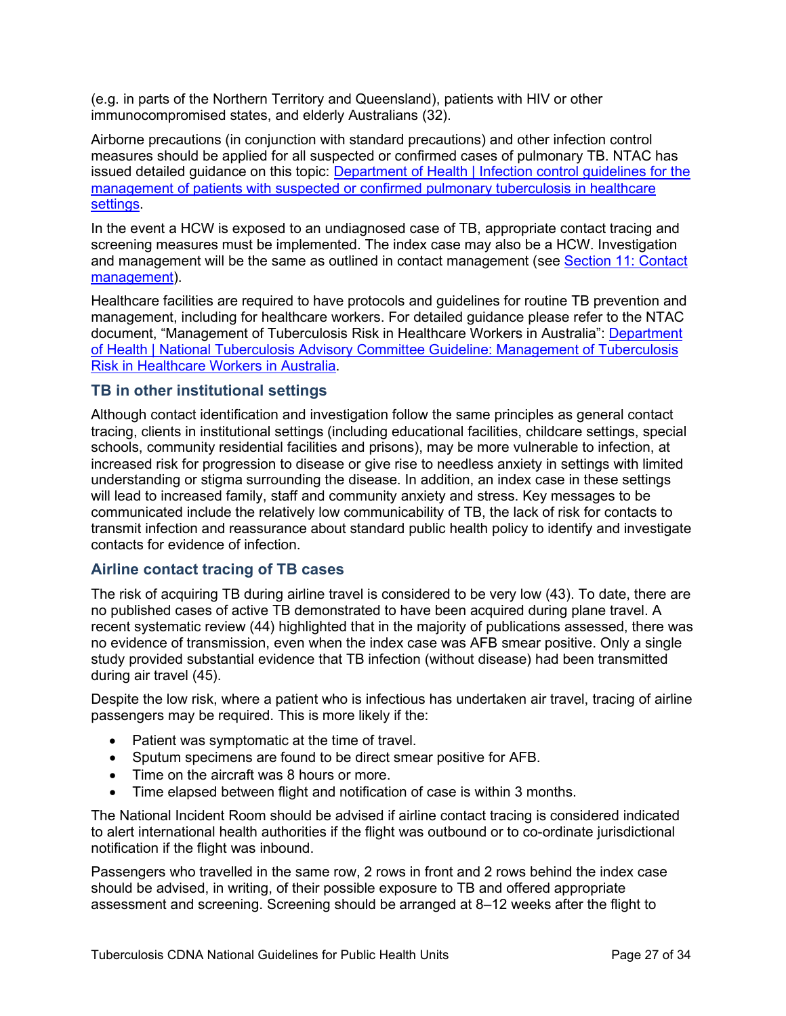(e.g. in parts of the Northern Territory and Queensland), patients with HIV or other immunocompromised states, and elderly Australians (32).

Airborne precautions (in conjunction with standard precautions) and other infection control measures should be applied for all suspected or confirmed cases of pulmonary TB. NTAC has issued detailed guidance on this topic: Department of Health | Infection control guidelines for the [management of patients with suspected or confirmed pulmonary tuberculosis in healthcare](https://www1.health.gov.au/internet/main/publishing.nsf/Content/cda-cdi4003i.htm)  [settings.](https://www1.health.gov.au/internet/main/publishing.nsf/Content/cda-cdi4003i.htm)

In the event a HCW is exposed to an undiagnosed case of TB, appropriate contact tracing and screening measures must be implemented. The index case may also be a HCW. Investigation and management will be the same as outlined in contact management (see [Section 11: Contact](#page-21-1)  [management\)](#page-21-1).

Healthcare facilities are required to have protocols and guidelines for routine TB prevention and management, including for healthcare workers. For detailed guidance please refer to the NTAC document, "Management of Tuberculosis Risk in Healthcare Workers in Australia": [Department](https://www1.health.gov.au/internet/main/publishing.nsf/Content/cdi4103-c)  [of Health | National Tuberculosis Advisory Committee Guideline: Management of Tuberculosis](https://www1.health.gov.au/internet/main/publishing.nsf/Content/cdi4103-c)  [Risk in Healthcare Workers in Australia.](https://www1.health.gov.au/internet/main/publishing.nsf/Content/cdi4103-c)

### <span id="page-26-0"></span>**TB in other institutional settings**

Although contact identification and investigation follow the same principles as general contact tracing, clients in institutional settings (including educational facilities, childcare settings, special schools, community residential facilities and prisons), may be more vulnerable to infection, at increased risk for progression to disease or give rise to needless anxiety in settings with limited understanding or stigma surrounding the disease. In addition, an index case in these settings will lead to increased family, staff and community anxiety and stress. Key messages to be communicated include the relatively low communicability of TB, the lack of risk for contacts to transmit infection and reassurance about standard public health policy to identify and investigate contacts for evidence of infection.

#### <span id="page-26-1"></span>**Airline contact tracing of TB cases**

The risk of acquiring TB during airline travel is considered to be very low (43). To date, there are no published cases of active TB demonstrated to have been acquired during plane travel. A recent systematic review (44) highlighted that in the majority of publications assessed, there was no evidence of transmission, even when the index case was AFB smear positive. Only a single study provided substantial evidence that TB infection (without disease) had been transmitted during air travel (45).

Despite the low risk, where a patient who is infectious has undertaken air travel, tracing of airline passengers may be required. This is more likely if the:

- Patient was symptomatic at the time of travel.
- Sputum specimens are found to be direct smear positive for AFB.
- Time on the aircraft was 8 hours or more.
- Time elapsed between flight and notification of case is within 3 months.

The National Incident Room should be advised if airline contact tracing is considered indicated to alert international health authorities if the flight was outbound or to co-ordinate jurisdictional notification if the flight was inbound.

Passengers who travelled in the same row, 2 rows in front and 2 rows behind the index case should be advised, in writing, of their possible exposure to TB and offered appropriate assessment and screening. Screening should be arranged at 8–12 weeks after the flight to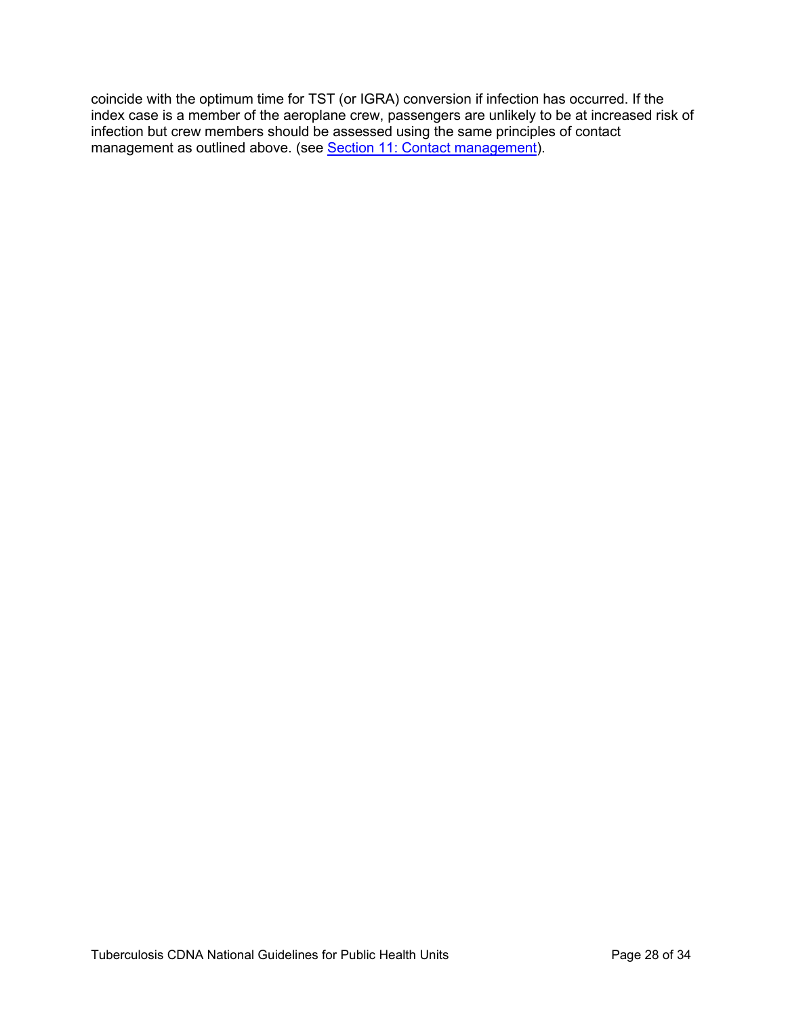coincide with the optimum time for TST (or IGRA) conversion if infection has occurred. If the index case is a member of the aeroplane crew, passengers are unlikely to be at increased risk of infection but crew members should be assessed using the same principles of contact management as outlined above. (see [Section 11: Contact management\)](#page-21-1).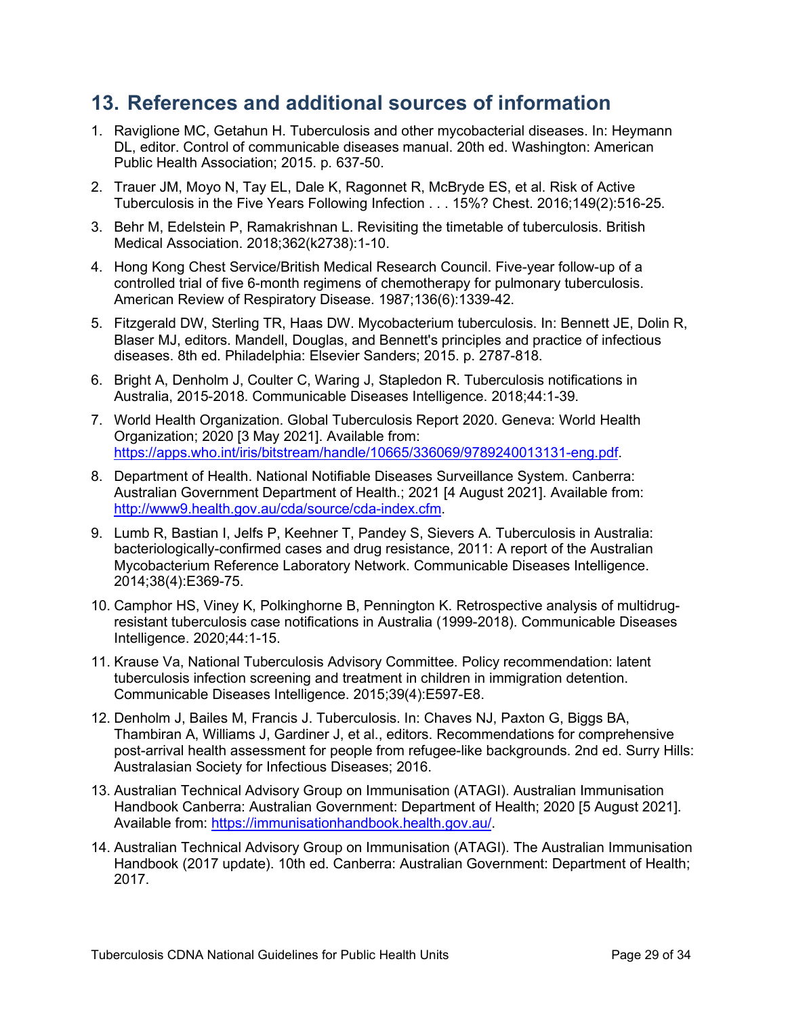# <span id="page-28-0"></span>**13. References and additional sources of information**

- 1. Raviglione MC, Getahun H. Tuberculosis and other mycobacterial diseases. In: Heymann DL, editor. Control of communicable diseases manual. 20th ed. Washington: American Public Health Association; 2015. p. 637-50.
- 2. Trauer JM, Moyo N, Tay EL, Dale K, Ragonnet R, McBryde ES, et al. Risk of Active Tuberculosis in the Five Years Following Infection . . . 15%? Chest. 2016;149(2):516-25.
- 3. Behr M, Edelstein P, Ramakrishnan L. Revisiting the timetable of tuberculosis. British Medical Association. 2018;362(k2738):1-10.
- 4. Hong Kong Chest Service/British Medical Research Council. Five-year follow-up of a controlled trial of five 6-month regimens of chemotherapy for pulmonary tuberculosis. American Review of Respiratory Disease. 1987;136(6):1339-42.
- 5. Fitzgerald DW, Sterling TR, Haas DW. Mycobacterium tuberculosis. In: Bennett JE, Dolin R, Blaser MJ, editors. Mandell, Douglas, and Bennett's principles and practice of infectious diseases. 8th ed. Philadelphia: Elsevier Sanders; 2015. p. 2787-818.
- 6. Bright A, Denholm J, Coulter C, Waring J, Stapledon R. Tuberculosis notifications in Australia, 2015-2018. Communicable Diseases Intelligence. 2018;44:1-39.
- 7. World Health Organization. Global Tuberculosis Report 2020. Geneva: World Health Organization; 2020 [3 May 2021]. Available from: [https://apps.who.int/iris/bitstream/handle/10665/336069/9789240013131-eng.pdf.](https://apps.who.int/iris/bitstream/handle/10665/336069/9789240013131-eng.pdf)
- 8. Department of Health. National Notifiable Diseases Surveillance System. Canberra: Australian Government Department of Health.; 2021 [4 August 2021]. Available from: [http://www9.health.gov.au/cda/source/cda-index.cfm.](http://www9.health.gov.au/cda/source/cda-index.cfm)
- 9. Lumb R, Bastian I, Jelfs P, Keehner T, Pandey S, Sievers A. Tuberculosis in Australia: bacteriologically-confirmed cases and drug resistance, 2011: A report of the Australian Mycobacterium Reference Laboratory Network. Communicable Diseases Intelligence. 2014;38(4):E369-75.
- 10. Camphor HS, Viney K, Polkinghorne B, Pennington K. Retrospective analysis of multidrugresistant tuberculosis case notifications in Australia (1999-2018). Communicable Diseases Intelligence. 2020;44:1-15.
- 11. Krause Va, National Tuberculosis Advisory Committee. Policy recommendation: latent tuberculosis infection screening and treatment in children in immigration detention. Communicable Diseases Intelligence. 2015;39(4):E597-E8.
- 12. Denholm J, Bailes M, Francis J. Tuberculosis. In: Chaves NJ, Paxton G, Biggs BA, Thambiran A, Williams J, Gardiner J, et al., editors. Recommendations for comprehensive post-arrival health assessment for people from refugee-like backgrounds. 2nd ed. Surry Hills: Australasian Society for Infectious Diseases; 2016.
- 13. Australian Technical Advisory Group on Immunisation (ATAGI). Australian Immunisation Handbook Canberra: Australian Government: Department of Health; 2020 [5 August 2021]. Available from: [https://immunisationhandbook.health.gov.au/.](https://immunisationhandbook.health.gov.au/)
- 14. Australian Technical Advisory Group on Immunisation (ATAGI). The Australian Immunisation Handbook (2017 update). 10th ed. Canberra: Australian Government: Department of Health; 2017.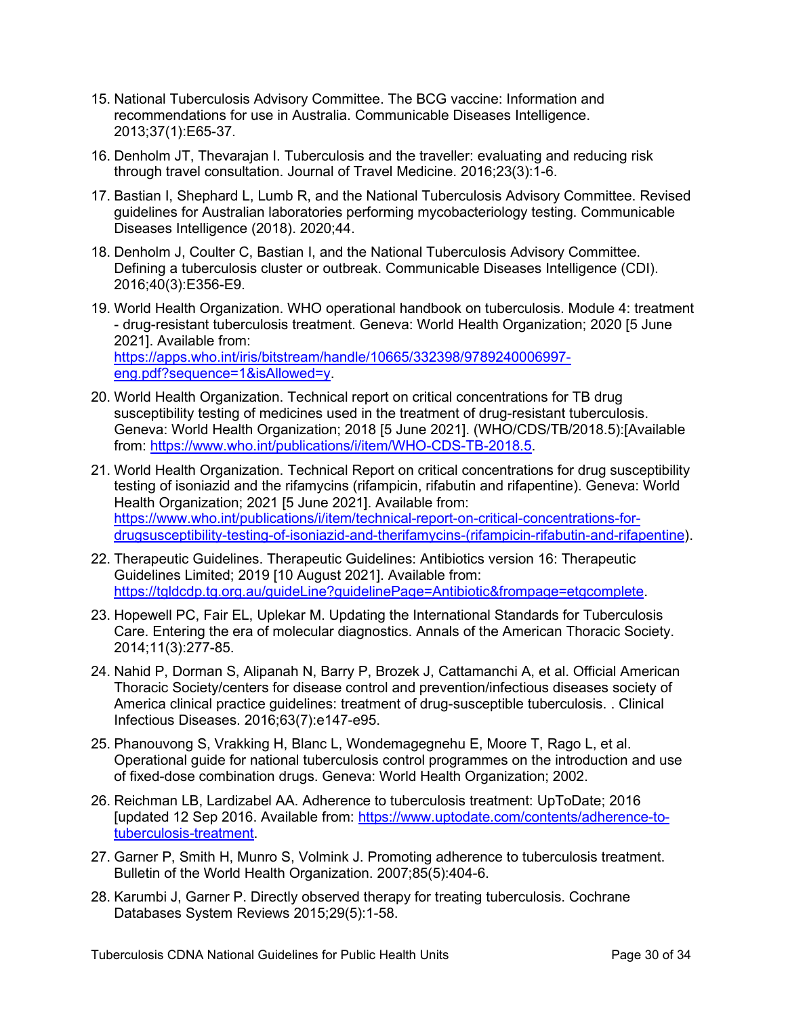- 15. National Tuberculosis Advisory Committee. The BCG vaccine: Information and recommendations for use in Australia. Communicable Diseases Intelligence. 2013;37(1):E65-37.
- 16. Denholm JT, Thevarajan I. Tuberculosis and the traveller: evaluating and reducing risk through travel consultation. Journal of Travel Medicine. 2016;23(3):1-6.
- 17. Bastian I, Shephard L, Lumb R, and the National Tuberculosis Advisory Committee. Revised guidelines for Australian laboratories performing mycobacteriology testing. Communicable Diseases Intelligence (2018). 2020;44.
- 18. Denholm J, Coulter C, Bastian I, and the National Tuberculosis Advisory Committee. Defining a tuberculosis cluster or outbreak. Communicable Diseases Intelligence (CDI). 2016;40(3):E356-E9.
- 19. World Health Organization. WHO operational handbook on tuberculosis. Module 4: treatment - drug-resistant tuberculosis treatment. Geneva: World Health Organization; 2020 [5 June 2021]. Available from: [https://apps.who.int/iris/bitstream/handle/10665/332398/9789240006997](https://apps.who.int/iris/bitstream/handle/10665/332398/9789240006997-eng.pdf?sequence=1&isAllowed=y) [eng.pdf?sequence=1&isAllowed=y.](https://apps.who.int/iris/bitstream/handle/10665/332398/9789240006997-eng.pdf?sequence=1&isAllowed=y)
- 20. World Health Organization. Technical report on critical concentrations for TB drug susceptibility testing of medicines used in the treatment of drug-resistant tuberculosis. Geneva: World Health Organization; 2018 [5 June 2021]. (WHO/CDS/TB/2018.5):[Available from: [https://www.who.int/publications/i/item/WHO-CDS-TB-2018.5.](https://www.who.int/publications/i/item/WHO-CDS-TB-2018.5)
- 21. World Health Organization. Technical Report on critical concentrations for drug susceptibility testing of isoniazid and the rifamycins (rifampicin, rifabutin and rifapentine). Geneva: World Health Organization; 2021 [5 June 2021]. Available from: [https://www.who.int/publications/i/item/technical-report-on-critical-concentrations-for](https://www.who.int/publications/i/item/technical-report-on-critical-concentrations-for-drugsusceptibility-testing-of-isoniazid-and-therifamycins-(rifampicin-rifabutin-and-rifapentine)[drugsusceptibility-testing-of-isoniazid-and-therifamycins-\(rifampicin-rifabutin-and-rifapentine\)](https://www.who.int/publications/i/item/technical-report-on-critical-concentrations-for-drugsusceptibility-testing-of-isoniazid-and-therifamycins-(rifampicin-rifabutin-and-rifapentine).
- 22. Therapeutic Guidelines. Therapeutic Guidelines: Antibiotics version 16: Therapeutic Guidelines Limited; 2019 [10 August 2021]. Available from: [https://tgldcdp.tg.org.au/guideLine?guidelinePage=Antibiotic&frompage=etgcomplete.](https://tgldcdp.tg.org.au/guideLine?guidelinePage=Antibiotic&frompage=etgcomplete)
- 23. Hopewell PC, Fair EL, Uplekar M. Updating the International Standards for Tuberculosis Care. Entering the era of molecular diagnostics. Annals of the American Thoracic Society. 2014;11(3):277-85.
- 24. Nahid P, Dorman S, Alipanah N, Barry P, Brozek J, Cattamanchi A, et al. Official American Thoracic Society/centers for disease control and prevention/infectious diseases society of America clinical practice guidelines: treatment of drug-susceptible tuberculosis. . Clinical Infectious Diseases. 2016;63(7):e147-e95.
- 25. Phanouvong S, Vrakking H, Blanc L, Wondemagegnehu E, Moore T, Rago L, et al. Operational guide for national tuberculosis control programmes on the introduction and use of fixed-dose combination drugs. Geneva: World Health Organization; 2002.
- 26. Reichman LB, Lardizabel AA. Adherence to tuberculosis treatment: UpToDate; 2016 [updated 12 Sep 2016. Available from: [https://www.uptodate.com/contents/adherence-to](https://www.uptodate.com/contents/adherence-to-tuberculosis-treatment)[tuberculosis-treatment.](https://www.uptodate.com/contents/adherence-to-tuberculosis-treatment)
- 27. Garner P, Smith H, Munro S, Volmink J. Promoting adherence to tuberculosis treatment. Bulletin of the World Health Organization. 2007;85(5):404-6.
- 28. Karumbi J, Garner P. Directly observed therapy for treating tuberculosis. Cochrane Databases System Reviews 2015;29(5):1-58.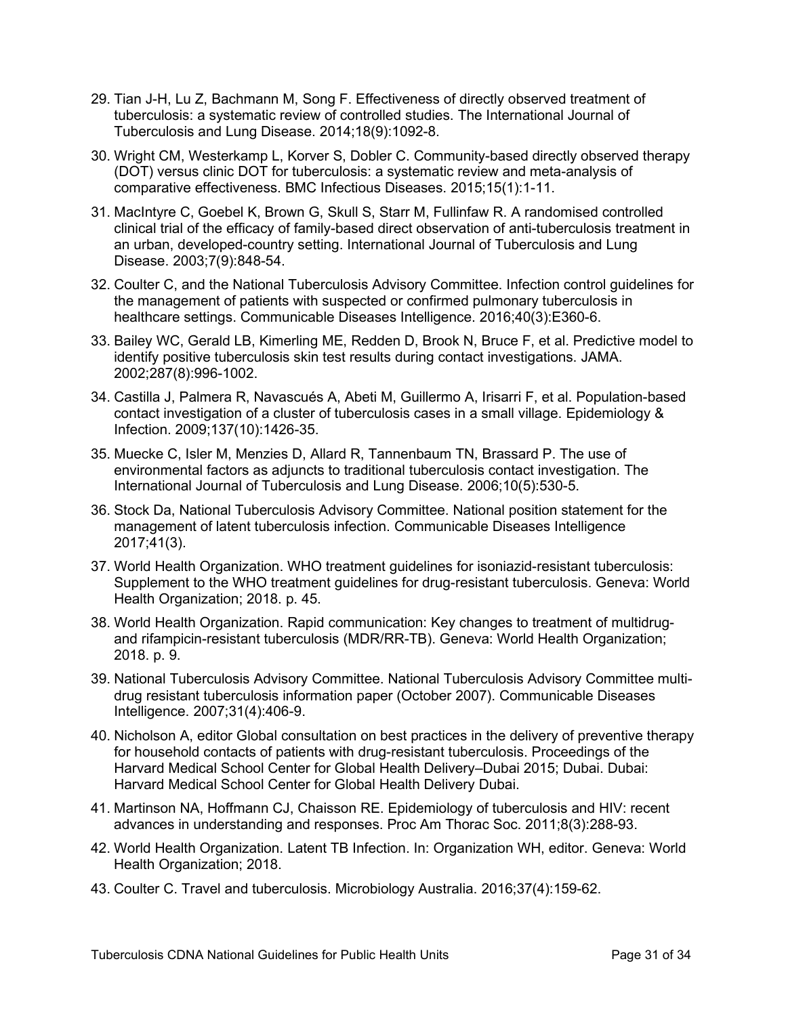- 29. Tian J-H, Lu Z, Bachmann M, Song F. Effectiveness of directly observed treatment of tuberculosis: a systematic review of controlled studies. The International Journal of Tuberculosis and Lung Disease. 2014;18(9):1092-8.
- 30. Wright CM, Westerkamp L, Korver S, Dobler C. Community-based directly observed therapy (DOT) versus clinic DOT for tuberculosis: a systematic review and meta-analysis of comparative effectiveness. BMC Infectious Diseases. 2015;15(1):1-11.
- 31. MacIntyre C, Goebel K, Brown G, Skull S, Starr M, Fullinfaw R. A randomised controlled clinical trial of the efficacy of family-based direct observation of anti-tuberculosis treatment in an urban, developed-country setting. International Journal of Tuberculosis and Lung Disease. 2003;7(9):848-54.
- 32. Coulter C, and the National Tuberculosis Advisory Committee. Infection control guidelines for the management of patients with suspected or confirmed pulmonary tuberculosis in healthcare settings. Communicable Diseases Intelligence. 2016;40(3):E360-6.
- 33. Bailey WC, Gerald LB, Kimerling ME, Redden D, Brook N, Bruce F, et al. Predictive model to identify positive tuberculosis skin test results during contact investigations. JAMA. 2002;287(8):996-1002.
- 34. Castilla J, Palmera R, Navascués A, Abeti M, Guillermo A, Irisarri F, et al. Population-based contact investigation of a cluster of tuberculosis cases in a small village. Epidemiology & Infection. 2009;137(10):1426-35.
- 35. Muecke C, Isler M, Menzies D, Allard R, Tannenbaum TN, Brassard P. The use of environmental factors as adjuncts to traditional tuberculosis contact investigation. The International Journal of Tuberculosis and Lung Disease. 2006;10(5):530-5.
- 36. Stock Da, National Tuberculosis Advisory Committee. National position statement for the management of latent tuberculosis infection. Communicable Diseases Intelligence 2017;41(3).
- 37. World Health Organization. WHO treatment guidelines for isoniazid-resistant tuberculosis: Supplement to the WHO treatment guidelines for drug-resistant tuberculosis. Geneva: World Health Organization; 2018. p. 45.
- 38. World Health Organization. Rapid communication: Key changes to treatment of multidrugand rifampicin-resistant tuberculosis (MDR/RR-TB). Geneva: World Health Organization; 2018. p. 9.
- 39. National Tuberculosis Advisory Committee. National Tuberculosis Advisory Committee multidrug resistant tuberculosis information paper (October 2007). Communicable Diseases Intelligence. 2007;31(4):406-9.
- 40. Nicholson A, editor Global consultation on best practices in the delivery of preventive therapy for household contacts of patients with drug-resistant tuberculosis. Proceedings of the Harvard Medical School Center for Global Health Delivery–Dubai 2015; Dubai. Dubai: Harvard Medical School Center for Global Health Delivery Dubai.
- 41. Martinson NA, Hoffmann CJ, Chaisson RE. Epidemiology of tuberculosis and HIV: recent advances in understanding and responses. Proc Am Thorac Soc. 2011;8(3):288-93.
- 42. World Health Organization. Latent TB Infection. In: Organization WH, editor. Geneva: World Health Organization; 2018.
- 43. Coulter C. Travel and tuberculosis. Microbiology Australia. 2016;37(4):159-62.